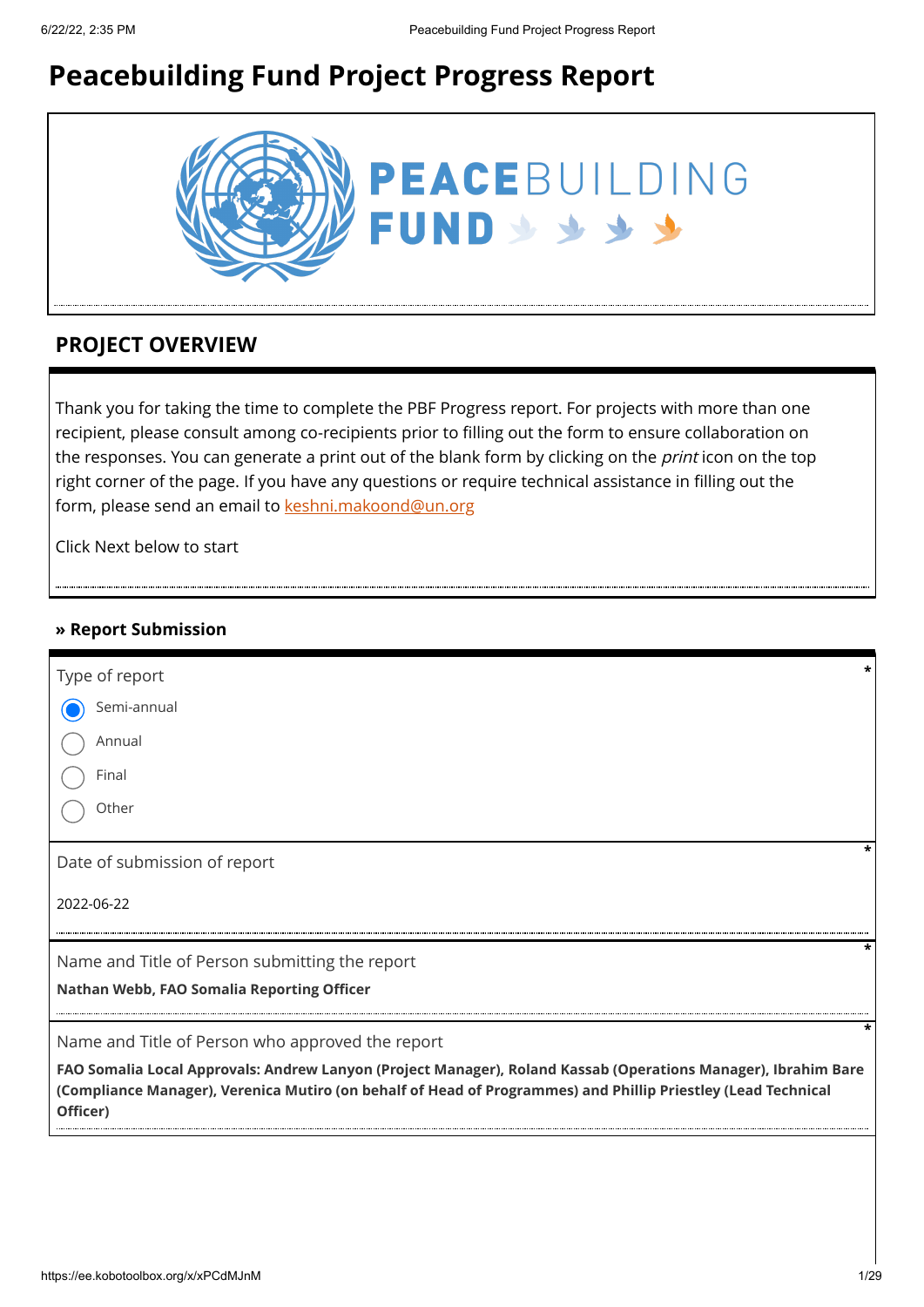# **Peacebuilding Fund Project Progress Report**



### **PROJECT OVERVIEW**

Thank you for taking the time to complete the PBF Progress report. For projects with more than one recipient, please consult among co-recipients prior to filling out the form to ensure collaboration on the responses. You can generate a print out of the blank form by clicking on the *print* icon on the top right corner of the page. If you have any questions or require technical assistance in filling out the form, please send an email to [keshni.makoond@un.org](https://ee.kobotoolbox.org/x/keshni.makoond@un.org)

Click Next below to start

### **» Report Submission**

| FAO Somalia Local Approvals: Andrew Lanyon (Project Manager), Roland Kassab (Operations Manager), Ibrahim Bare<br>(Compliance Manager), Verenica Mutiro (on behalf of Head of Programmes) and Phillip Priestley (Lead Technical<br>Officer) |   |
|---------------------------------------------------------------------------------------------------------------------------------------------------------------------------------------------------------------------------------------------|---|
| Name and Title of Person who approved the report                                                                                                                                                                                            | * |
| Nathan Webb, FAO Somalia Reporting Officer                                                                                                                                                                                                  |   |
| Name and Title of Person submitting the report                                                                                                                                                                                              | * |
| 2022-06-22                                                                                                                                                                                                                                  |   |
| Date of submission of report                                                                                                                                                                                                                |   |
| Other                                                                                                                                                                                                                                       |   |
| Final                                                                                                                                                                                                                                       |   |
| Annual                                                                                                                                                                                                                                      |   |
| Semi-annual                                                                                                                                                                                                                                 |   |
| Type of report                                                                                                                                                                                                                              | * |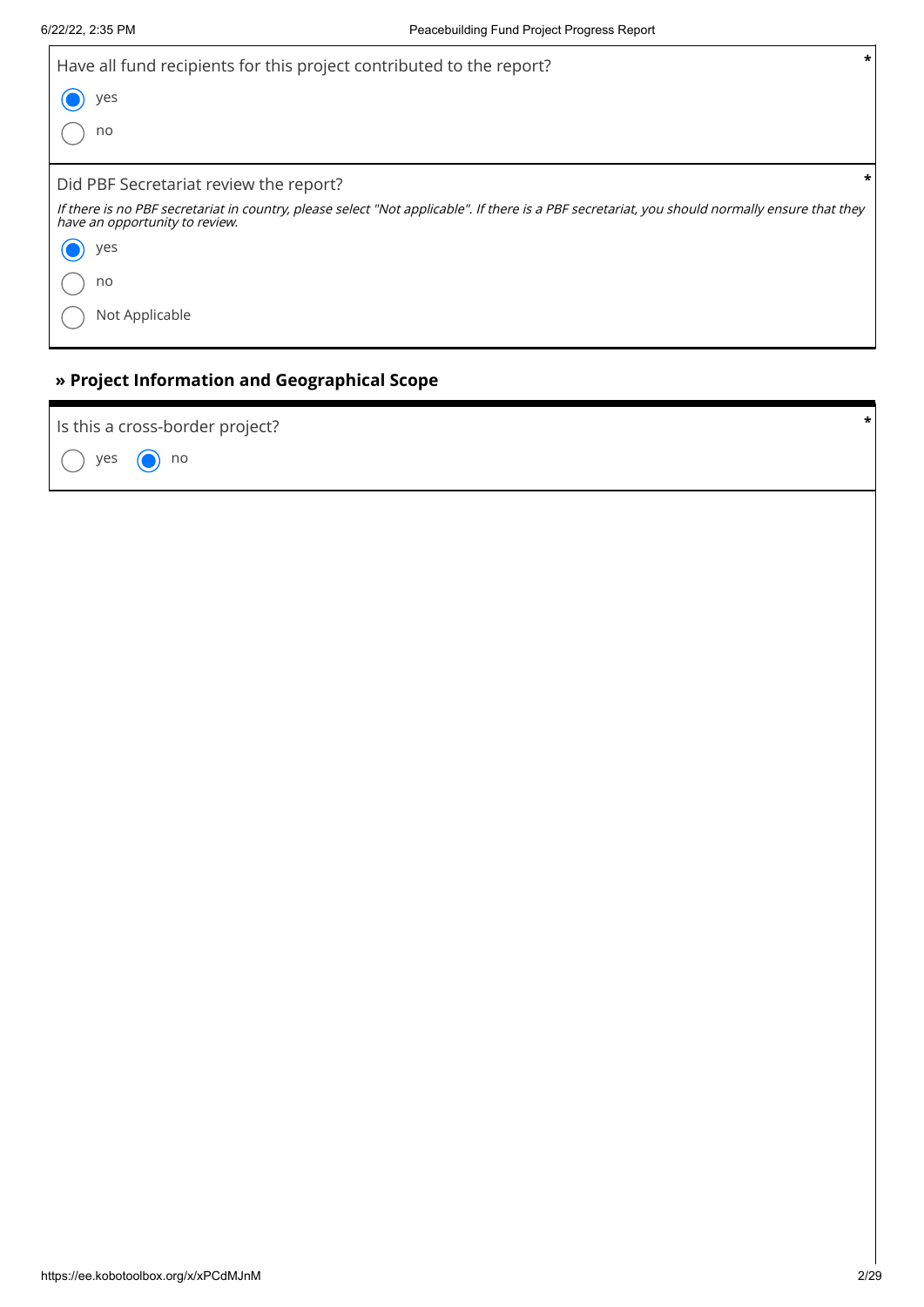$\overline{1}$ 

| *<br>Have all fund recipients for this project contributed to the report?<br>yes<br>no                                                                                           |   |  |
|----------------------------------------------------------------------------------------------------------------------------------------------------------------------------------|---|--|
|                                                                                                                                                                                  |   |  |
|                                                                                                                                                                                  |   |  |
|                                                                                                                                                                                  |   |  |
| Did PBF Secretariat review the report?                                                                                                                                           | * |  |
| If there is no PBF secretariat in country, please select "Not applicable". If there is a PBF secretariat, you should normally ensure that they<br>have an opportunity to review. |   |  |
| yes                                                                                                                                                                              |   |  |
| no                                                                                                                                                                               |   |  |
| Not Applicable                                                                                                                                                                   |   |  |
|                                                                                                                                                                                  |   |  |

### **» Project Information and Geographical Scope**

yes  $\bigcirc$  no Is this a cross-border project? **\***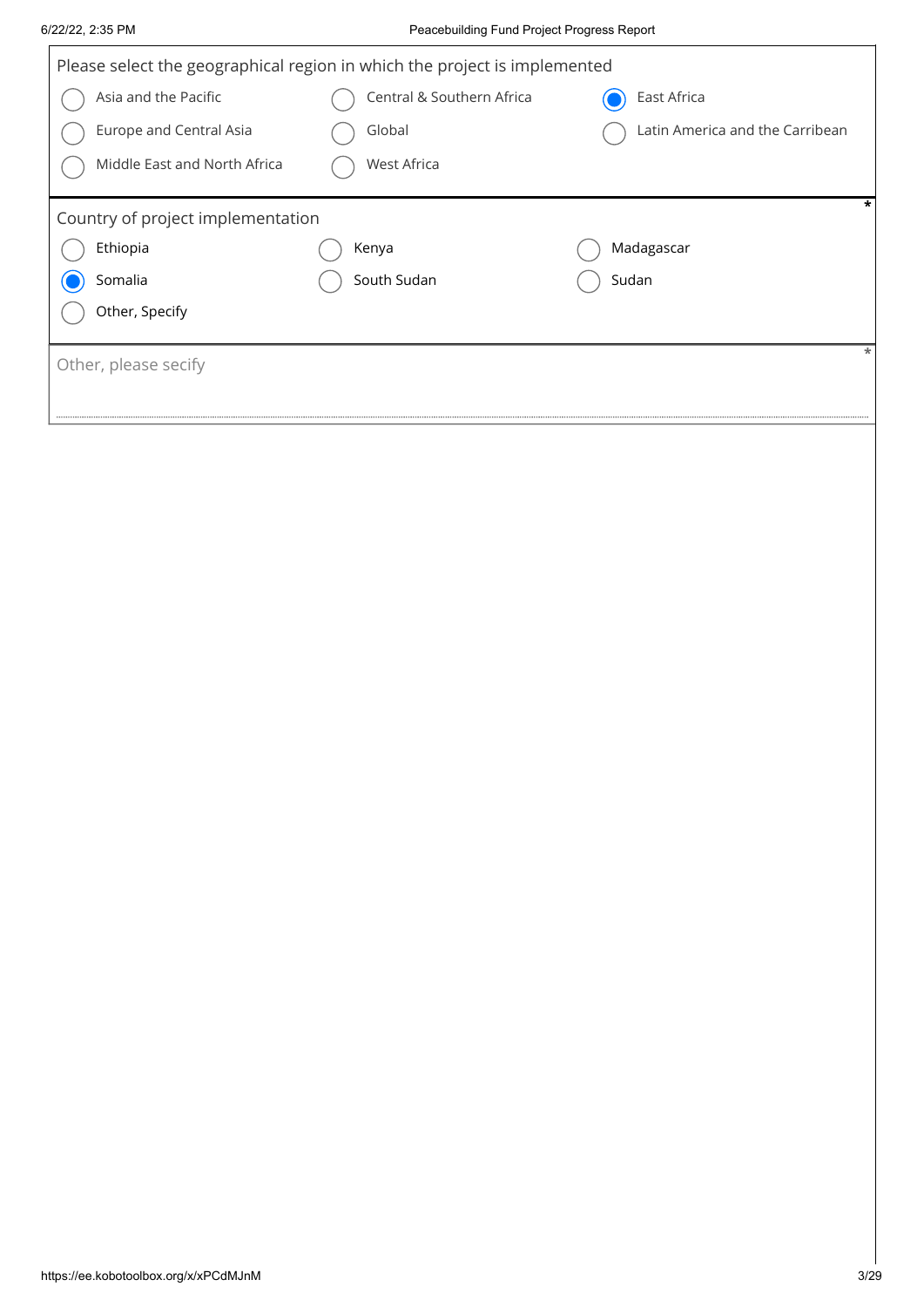|                                   | Please select the geographical region in which the project is implemented |                                 |
|-----------------------------------|---------------------------------------------------------------------------|---------------------------------|
| Asia and the Pacific              | Central & Southern Africa                                                 | East Africa                     |
| Europe and Central Asia           | Global                                                                    | Latin America and the Carribean |
|                                   |                                                                           |                                 |
| Middle East and North Africa      | West Africa                                                               |                                 |
| Country of project implementation |                                                                           | *                               |
| Ethiopia                          | Kenya                                                                     | Madagascar                      |
| Somalia                           | South Sudan                                                               | Sudan                           |
| Other, Specify                    |                                                                           |                                 |
|                                   |                                                                           | $\ast$                          |
| Other, please secify              |                                                                           |                                 |
|                                   |                                                                           |                                 |
|                                   |                                                                           |                                 |
|                                   |                                                                           |                                 |
|                                   |                                                                           |                                 |
|                                   |                                                                           |                                 |
|                                   |                                                                           |                                 |
|                                   |                                                                           |                                 |
|                                   |                                                                           |                                 |
|                                   |                                                                           |                                 |
|                                   |                                                                           |                                 |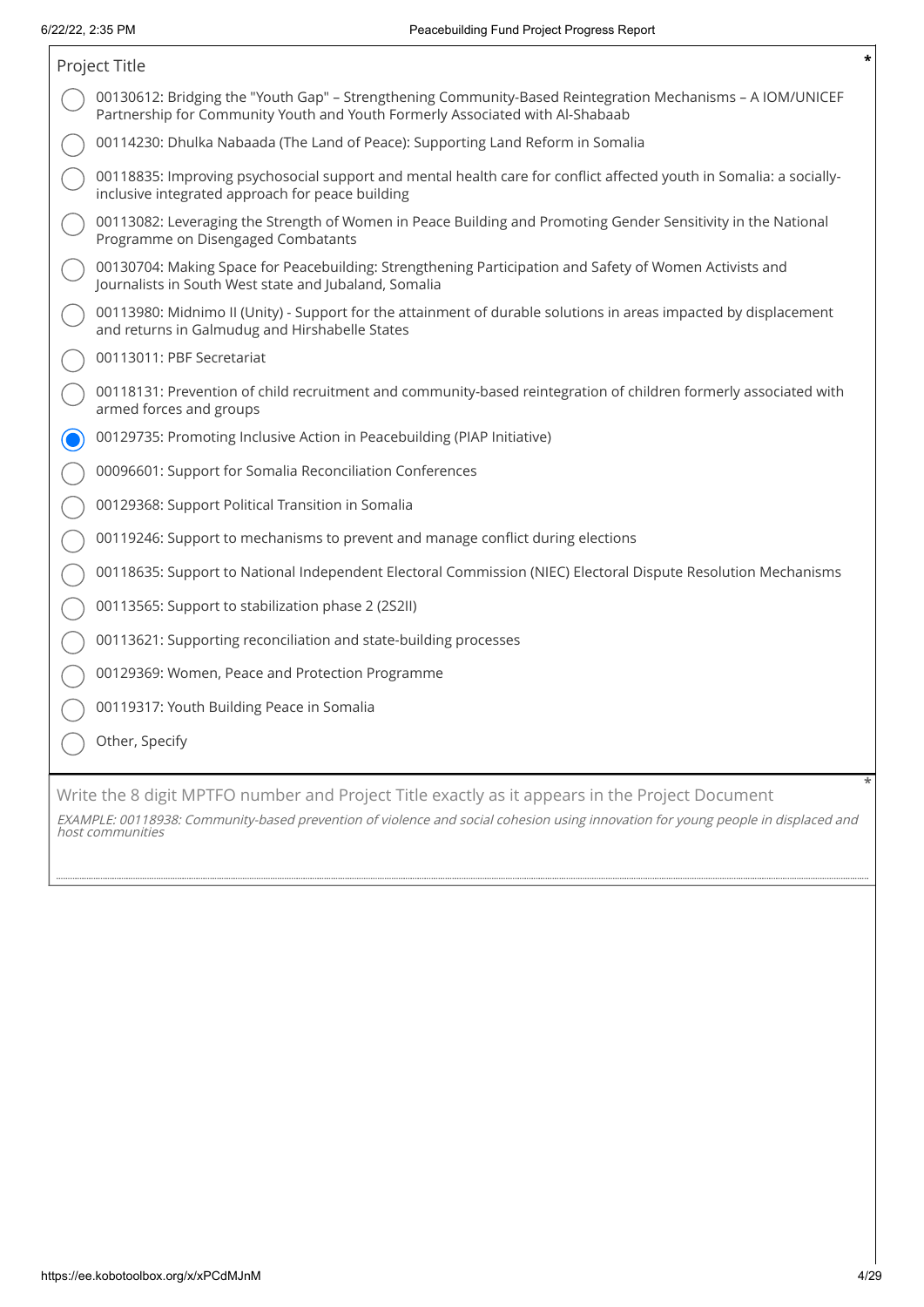| Project Title                                                                                                                                                                               |  |
|---------------------------------------------------------------------------------------------------------------------------------------------------------------------------------------------|--|
| 00130612: Bridging the "Youth Gap" - Strengthening Community-Based Reintegration Mechanisms - A IOM/UNICEF<br>Partnership for Community Youth and Youth Formerly Associated with Al-Shabaab |  |
| 00114230: Dhulka Nabaada (The Land of Peace): Supporting Land Reform in Somalia                                                                                                             |  |
| 00118835: Improving psychosocial support and mental health care for conflict affected youth in Somalia: a socially-<br>inclusive integrated approach for peace building                     |  |
| 00113082: Leveraging the Strength of Women in Peace Building and Promoting Gender Sensitivity in the National<br>Programme on Disengaged Combatants                                         |  |
| 00130704: Making Space for Peacebuilding: Strengthening Participation and Safety of Women Activists and<br>Journalists in South West state and Jubaland, Somalia                            |  |
| 00113980: Midnimo II (Unity) - Support for the attainment of durable solutions in areas impacted by displacement<br>and returns in Galmudug and Hirshabelle States                          |  |
| 00113011: PBF Secretariat                                                                                                                                                                   |  |
| 00118131: Prevention of child recruitment and community-based reintegration of children formerly associated with<br>armed forces and groups                                                 |  |
| 00129735: Promoting Inclusive Action in Peacebuilding (PIAP Initiative)                                                                                                                     |  |
| 00096601: Support for Somalia Reconciliation Conferences                                                                                                                                    |  |
| 00129368: Support Political Transition in Somalia                                                                                                                                           |  |
| 00119246: Support to mechanisms to prevent and manage conflict during elections                                                                                                             |  |
| 00118635: Support to National Independent Electoral Commission (NIEC) Electoral Dispute Resolution Mechanisms                                                                               |  |
| 00113565: Support to stabilization phase 2 (2S2II)                                                                                                                                          |  |
| 00113621: Supporting reconciliation and state-building processes                                                                                                                            |  |
| 00129369: Women, Peace and Protection Programme                                                                                                                                             |  |
| 00119317: Youth Building Peace in Somalia                                                                                                                                                   |  |
| Other, Specify                                                                                                                                                                              |  |
| Write the 8 digit MPTFO number and Project Title exactly as it appears in the Project Document                                                                                              |  |

EXAMPLE: 00118938: Community-based prevention of violence and social cohesion using innovation for young people in displaced and host communities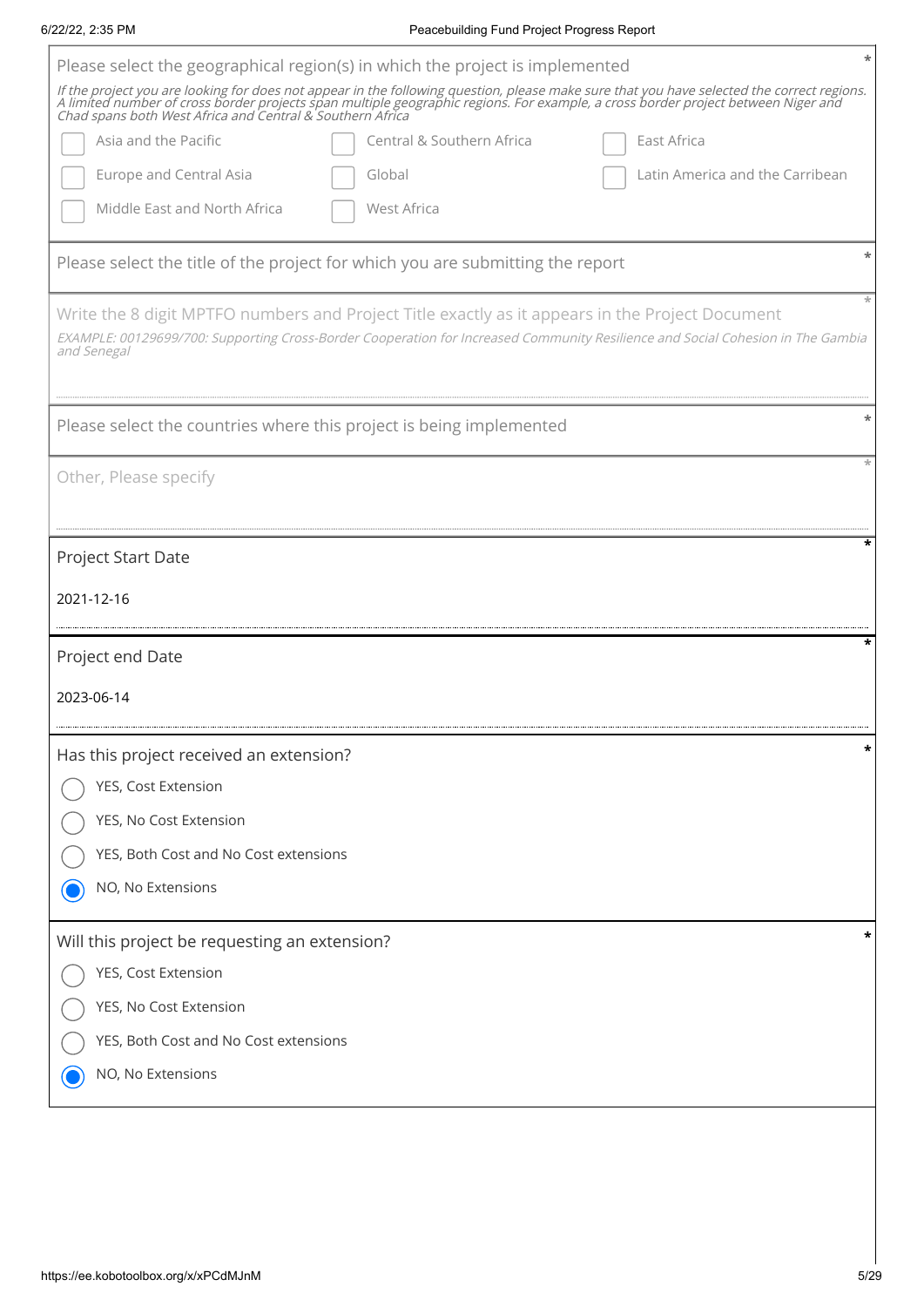|                                                                     | Please select the geographical region(s) in which the project is implemented                                                                                                                                                                                                                                                                 |
|---------------------------------------------------------------------|----------------------------------------------------------------------------------------------------------------------------------------------------------------------------------------------------------------------------------------------------------------------------------------------------------------------------------------------|
|                                                                     | If the project you are looking for does not appear in the following question, please make sure that you have selected the correct regions.<br>A limited number of cross border projects span multiple geographic regions. For example, a cross border project between Niger and<br>Chad spans both West Africa and Central & Southern Africa |
| Asia and the Pacific                                                | Central & Southern Africa<br>East Africa                                                                                                                                                                                                                                                                                                     |
| <b>Europe and Central Asia</b>                                      | Latin America and the Carribean<br>Global                                                                                                                                                                                                                                                                                                    |
| Middle East and North Africa                                        | West Africa                                                                                                                                                                                                                                                                                                                                  |
|                                                                     | Please select the title of the project for which you are submitting the report                                                                                                                                                                                                                                                               |
|                                                                     | Write the 8 digit MPTFO numbers and Project Title exactly as it appears in the Project Document                                                                                                                                                                                                                                              |
| and Senegal                                                         | EXAMPLE: 00129699/700: Supporting Cross-Border Cooperation for Increased Community Resilience and Social Cohesion in The Gambia                                                                                                                                                                                                              |
| Please select the countries where this project is being implemented |                                                                                                                                                                                                                                                                                                                                              |
|                                                                     |                                                                                                                                                                                                                                                                                                                                              |
| Other, Please specify                                               |                                                                                                                                                                                                                                                                                                                                              |
|                                                                     |                                                                                                                                                                                                                                                                                                                                              |
| Project Start Date                                                  |                                                                                                                                                                                                                                                                                                                                              |
| 2021-12-16                                                          |                                                                                                                                                                                                                                                                                                                                              |
|                                                                     |                                                                                                                                                                                                                                                                                                                                              |
| Project end Date                                                    |                                                                                                                                                                                                                                                                                                                                              |
| 2023-06-14                                                          |                                                                                                                                                                                                                                                                                                                                              |
| Has this project received an extension?                             |                                                                                                                                                                                                                                                                                                                                              |
| YES, Cost Extension                                                 |                                                                                                                                                                                                                                                                                                                                              |
| YES, No Cost Extension                                              |                                                                                                                                                                                                                                                                                                                                              |
| YES, Both Cost and No Cost extensions                               |                                                                                                                                                                                                                                                                                                                                              |
| NO, No Extensions                                                   |                                                                                                                                                                                                                                                                                                                                              |
| Will this project be requesting an extension?                       |                                                                                                                                                                                                                                                                                                                                              |
| YES, Cost Extension                                                 |                                                                                                                                                                                                                                                                                                                                              |
| YES, No Cost Extension                                              |                                                                                                                                                                                                                                                                                                                                              |
| YES, Both Cost and No Cost extensions                               |                                                                                                                                                                                                                                                                                                                                              |

6/22/22, 2:35 PM Peacebuilding Fund Project Progress Report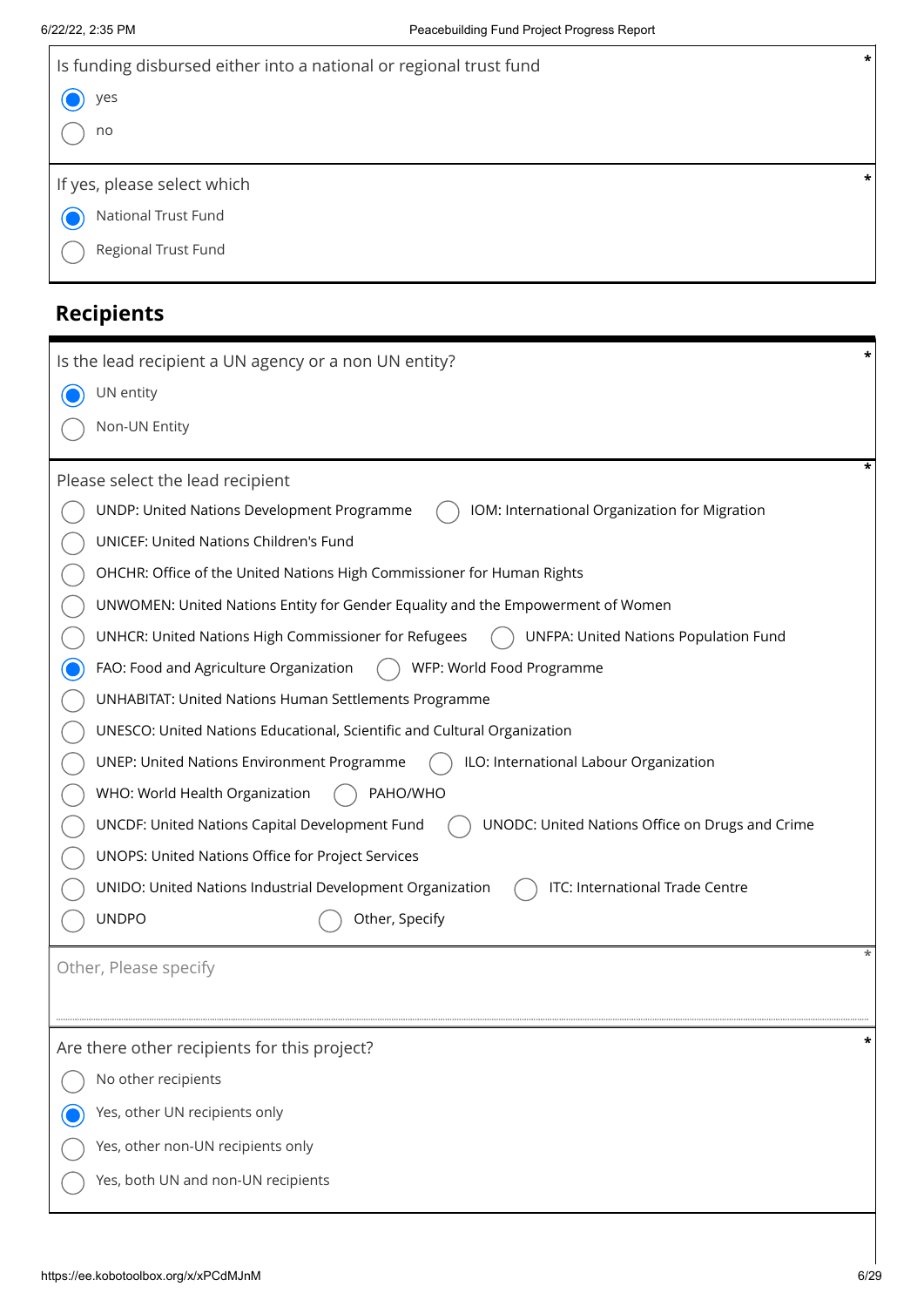| $\star$<br>Is funding disbursed either into a national or regional trust fund                     |
|---------------------------------------------------------------------------------------------------|
| yes                                                                                               |
| no                                                                                                |
| *<br>If yes, please select which                                                                  |
| National Trust Fund                                                                               |
|                                                                                                   |
| Regional Trust Fund                                                                               |
| <b>Recipients</b>                                                                                 |
| *<br>Is the lead recipient a UN agency or a non UN entity?                                        |
| UN entity                                                                                         |
| Non-UN Entity                                                                                     |
| *<br>Please select the lead recipient                                                             |
| UNDP: United Nations Development Programme<br>IOM: International Organization for Migration       |
| UNICEF: United Nations Children's Fund                                                            |
| OHCHR: Office of the United Nations High Commissioner for Human Rights                            |
| UNWOMEN: United Nations Entity for Gender Equality and the Empowerment of Women                   |
| UNHCR: United Nations High Commissioner for Refugees<br>UNFPA: United Nations Population Fund     |
| FAO: Food and Agriculture Organization<br>WFP: World Food Programme                               |
| <b>UNHABITAT: United Nations Human Settlements Programme</b>                                      |
| UNESCO: United Nations Educational, Scientific and Cultural Organization                          |
| ILO: International Labour Organization<br><b>UNEP: United Nations Environment Programme</b>       |
| WHO: World Health Organization<br>PAHO/WHO                                                        |
| UNCDF: United Nations Capital Development Fund<br>UNODC: United Nations Office on Drugs and Crime |
| UNOPS: United Nations Office for Project Services                                                 |
| ITC: International Trade Centre<br>UNIDO: United Nations Industrial Development Organization      |
| <b>UNDPO</b><br>Other, Specify                                                                    |
| Other, Please specify                                                                             |
|                                                                                                   |
| Are there other recipients for this project?                                                      |
| No other recipients                                                                               |
| Yes, other UN recipients only                                                                     |
| Yes, other non-UN recipients only                                                                 |
| Yes, both UN and non-UN recipients                                                                |
|                                                                                                   |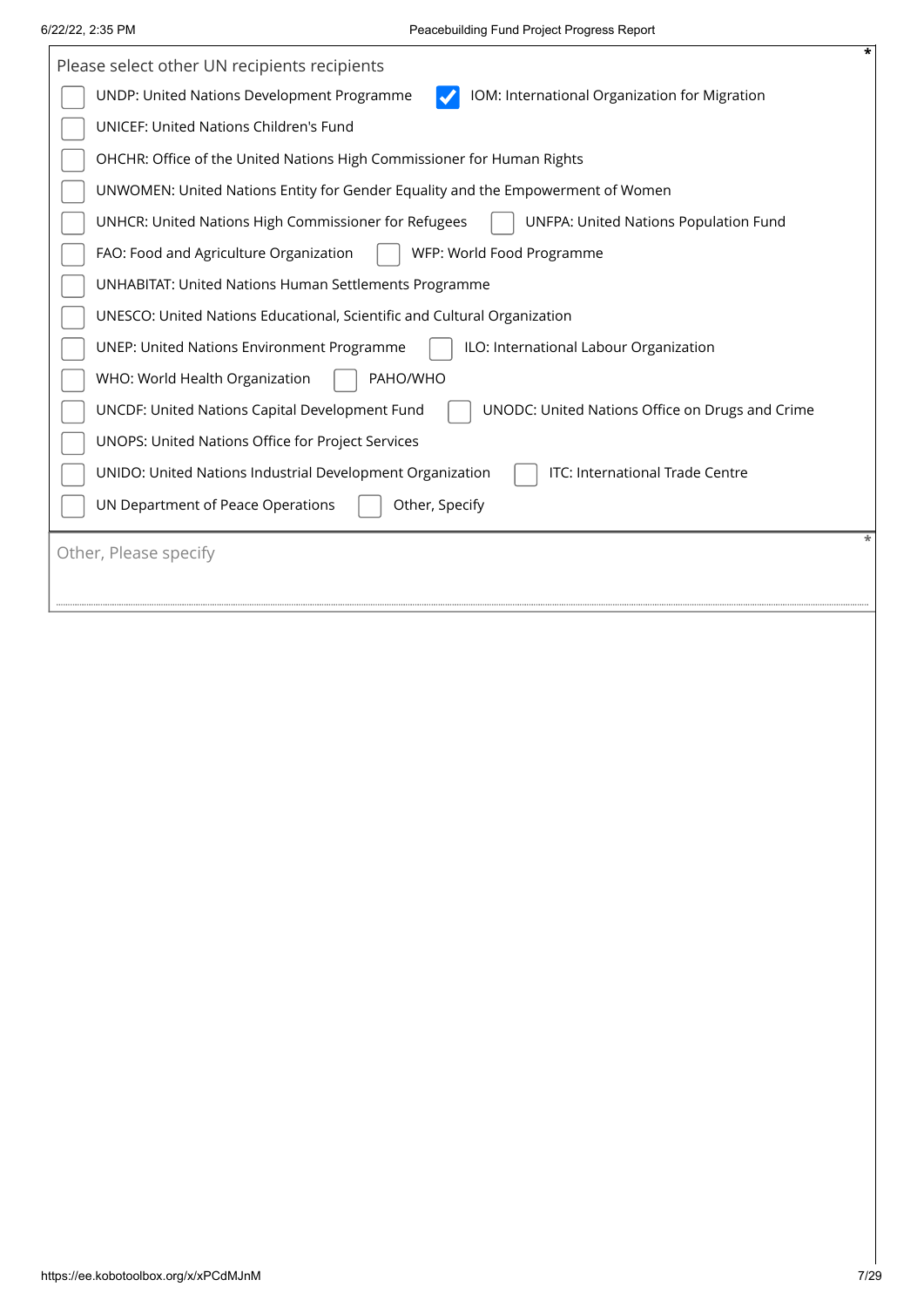$\mathbf{r}$ 

| Please select other UN recipients recipients                                                      |
|---------------------------------------------------------------------------------------------------|
| UNDP: United Nations Development Programme<br>IOM: International Organization for Migration       |
| UNICEF: United Nations Children's Fund                                                            |
| OHCHR: Office of the United Nations High Commissioner for Human Rights                            |
| UNWOMEN: United Nations Entity for Gender Equality and the Empowerment of Women                   |
| UNHCR: United Nations High Commissioner for Refugees<br>UNFPA: United Nations Population Fund     |
| FAO: Food and Agriculture Organization<br>WFP: World Food Programme                               |
| <b>UNHABITAT: United Nations Human Settlements Programme</b>                                      |
| UNESCO: United Nations Educational, Scientific and Cultural Organization                          |
| ILO: International Labour Organization<br><b>UNEP: United Nations Environment Programme</b>       |
| WHO: World Health Organization<br>PAHO/WHO                                                        |
| UNCDF: United Nations Capital Development Fund<br>UNODC: United Nations Office on Drugs and Crime |
| UNOPS: United Nations Office for Project Services                                                 |
| ITC: International Trade Centre<br>UNIDO: United Nations Industrial Development Organization      |
| UN Department of Peace Operations<br>Other, Specify                                               |
| Other, Please specify                                                                             |
|                                                                                                   |
|                                                                                                   |
|                                                                                                   |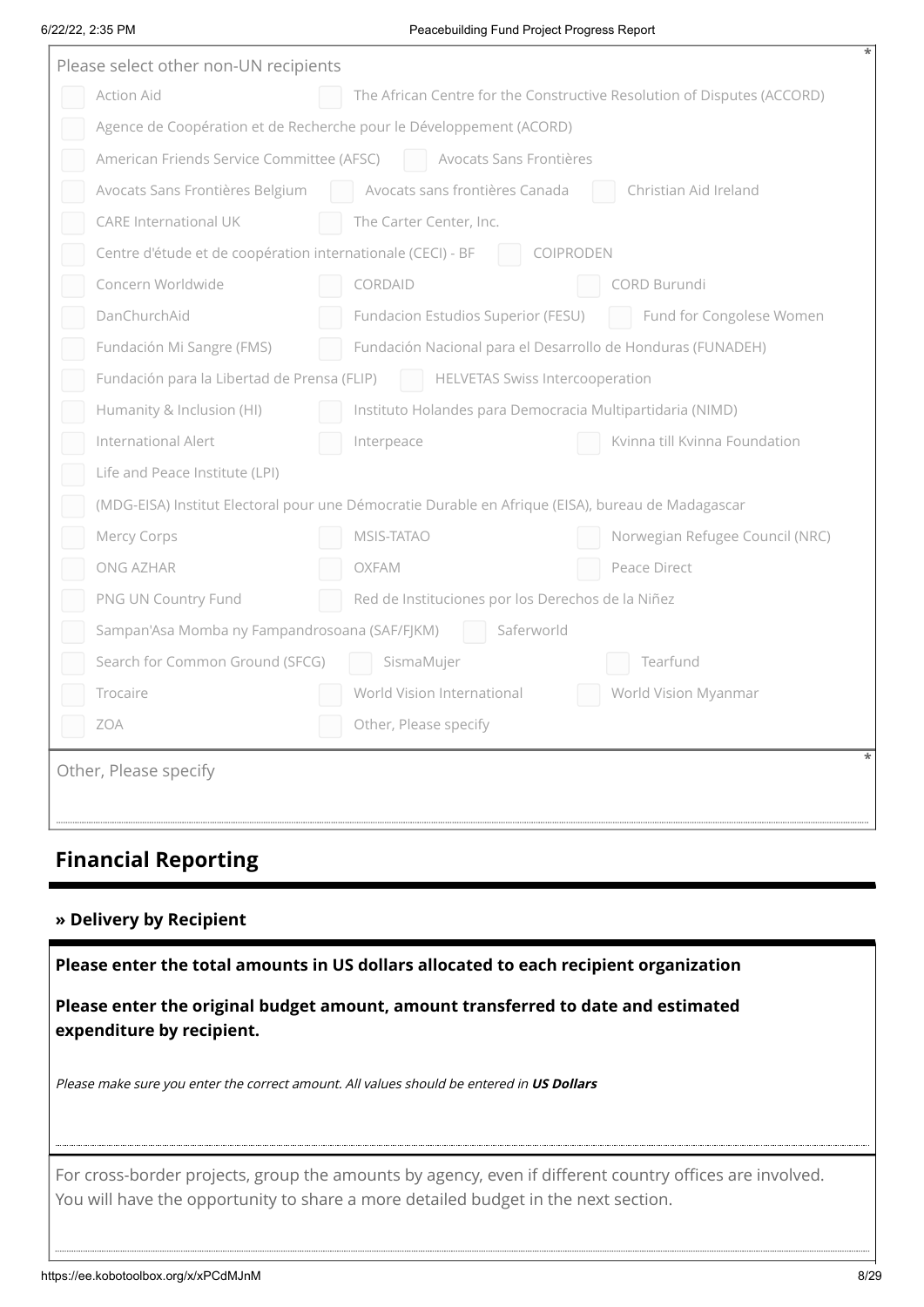#### 6/22/22, 2:35 PM Peacebuilding Fund Project Progress Report

| Please select other non-UN recipients                                                             |  |  |  |  |
|---------------------------------------------------------------------------------------------------|--|--|--|--|
| Action Aid<br>The African Centre for the Constructive Resolution of Disputes (ACCORD)             |  |  |  |  |
| Agence de Coopération et de Recherche pour le Développement (ACORD)                               |  |  |  |  |
| American Friends Service Committee (AFSC)<br>Avocats Sans Frontières<br><b>Contract Contract</b>  |  |  |  |  |
| Avocats Sans Frontières Belgium<br>Avocats sans frontières Canada<br>Christian Aid Ireland        |  |  |  |  |
| <b>CARE International UK</b><br>The Carter Center, Inc.                                           |  |  |  |  |
| Centre d'étude et de coopération internationale (CECI) - BF<br>COIPRODEN                          |  |  |  |  |
| Concern Worldwide<br>CORDAID<br>CORD Burundi                                                      |  |  |  |  |
| DanChurchAid<br>Fund for Congolese Women<br>Fundacion Estudios Superior (FESU)                    |  |  |  |  |
| Fundación Nacional para el Desarrollo de Honduras (FUNADEH)<br>Fundación Mi Sangre (FMS)          |  |  |  |  |
| Fundación para la Libertad de Prensa (FLIP)<br><b>HELVETAS Swiss Intercooperation</b>             |  |  |  |  |
| Humanity & Inclusion (HI)<br>Instituto Holandes para Democracia Multipartidaria (NIMD)            |  |  |  |  |
| International Alert<br>Kvinna till Kvinna Foundation<br>Interpeace                                |  |  |  |  |
| Life and Peace Institute (LPI)                                                                    |  |  |  |  |
| (MDG-EISA) Institut Electoral pour une Démocratie Durable en Afrique (EISA), bureau de Madagascar |  |  |  |  |
| Mercy Corps<br><b>MSIS-TATAO</b><br>Norwegian Refugee Council (NRC)                               |  |  |  |  |
| ONG AZHAR<br>OXFAM<br>Peace Direct                                                                |  |  |  |  |
| PNG UN Country Fund<br>Red de Instituciones por los Derechos de la Niñez                          |  |  |  |  |
| Sampan'Asa Momba ny Fampandrosoana (SAF/FJKM)<br>Saferworld                                       |  |  |  |  |
| Search for Common Ground (SFCG)<br>Tearfund<br>SismaMujer                                         |  |  |  |  |
| Trocaire<br>World Vision International<br>World Vision Myanmar                                    |  |  |  |  |
| ZOA<br>Other, Please specify                                                                      |  |  |  |  |
| Other, Please specify                                                                             |  |  |  |  |
|                                                                                                   |  |  |  |  |
|                                                                                                   |  |  |  |  |

# **Financial Reporting**

### **» Delivery by Recipient**

**Please enter the total amounts in US dollars allocated to each recipient organization**

**Please enter the original budget amount, amount transferred to date and estimated expenditure by recipient.**

Please make sure you enter the correct amount. All values should be entered in **US Dollars**

For cross-border projects, group the amounts by agency, even if different country offices are involved. You will have the opportunity to share a more detailed budget in the next section.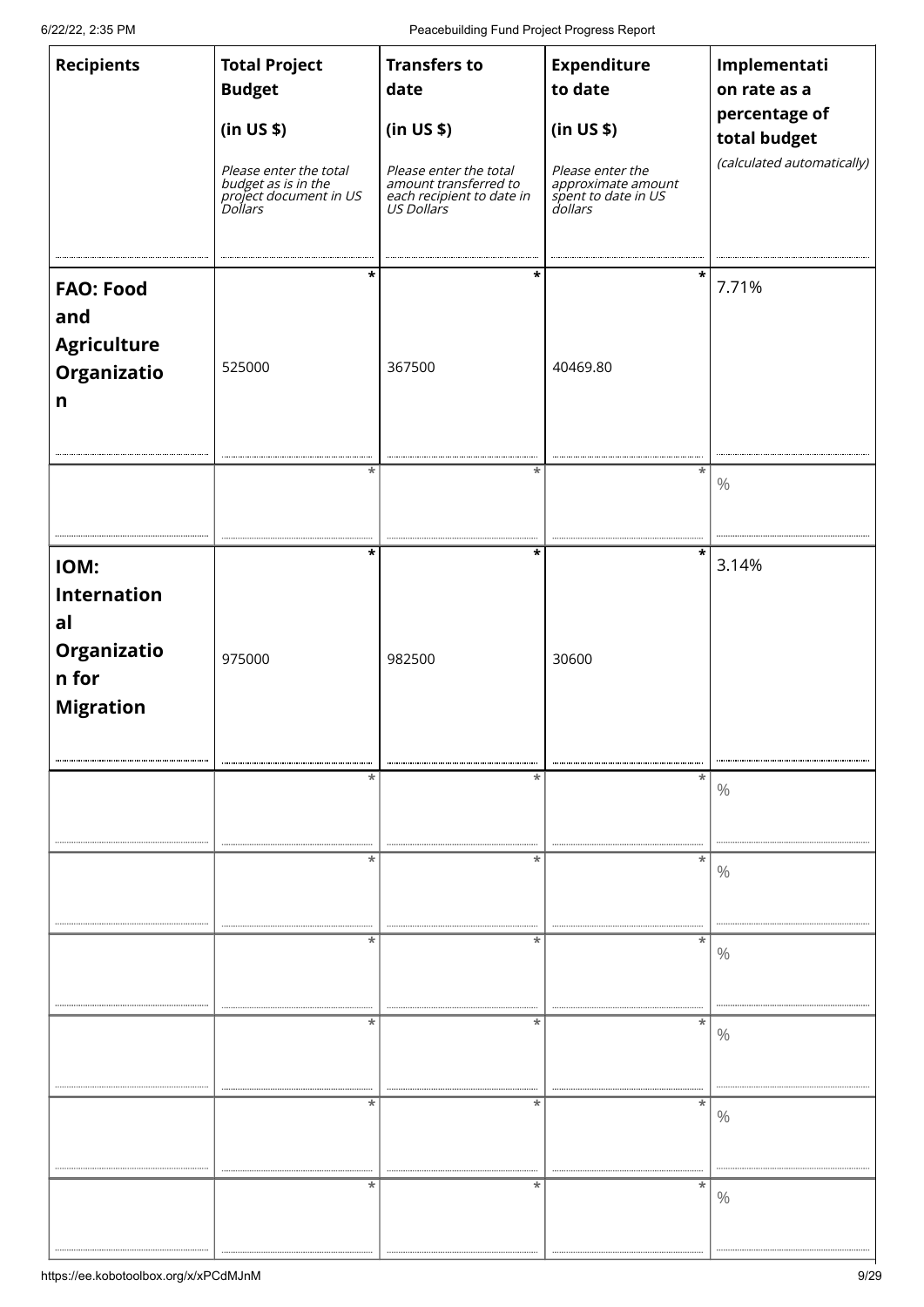6/22/22, 2:35 PM Peacebuilding Fund Project Progress Report

| <b>Recipients</b>                                                            | <b>Total Project</b><br><b>Budget</b><br>(in US \$)<br>Please enter the total<br>budget as is in the<br>project document in US<br>Dollars | <b>Transfers to</b><br>date<br>(in US \$)<br>Please enter the total<br>amount transferred to<br>each recipient to date in<br>US Dollars | <b>Expenditure</b><br>to date<br>(in US \$)<br>Please enter the<br>approximate amount<br>spent to date in US<br>dollars | Implementati<br>on rate as a<br>percentage of<br>total budget<br>(calculated automatically) |
|------------------------------------------------------------------------------|-------------------------------------------------------------------------------------------------------------------------------------------|-----------------------------------------------------------------------------------------------------------------------------------------|-------------------------------------------------------------------------------------------------------------------------|---------------------------------------------------------------------------------------------|
| <b>FAO: Food</b><br>and<br><b>Agriculture</b><br>Organizatio<br>$\mathsf{n}$ | *<br>525000                                                                                                                               | *<br>367500                                                                                                                             | 40469.80                                                                                                                | 7.71%                                                                                       |
|                                                                              | *                                                                                                                                         | *                                                                                                                                       | *                                                                                                                       | $\%$                                                                                        |
| IOM:<br><b>Internation</b><br>al<br>Organizatio<br>n for<br><b>Migration</b> | *<br>975000                                                                                                                               | *<br>982500<br><br>                                                                                                                     | 30600<br>                                                                                                               | 3.14%                                                                                       |
| ,,,,,,,,,,,,,,,,,,,,,,,,,,,,,,,,,,,                                          | *                                                                                                                                         | *<br>                                                                                                                                   | *<br>                                                                                                                   | $\%$                                                                                        |
|                                                                              | *                                                                                                                                         | *                                                                                                                                       | *<br>,,,,,,,,,,,,,,,,,,,,,,,,,,,,,,,,,,                                                                                 | $\%$                                                                                        |
|                                                                              | *                                                                                                                                         | *                                                                                                                                       | *                                                                                                                       | $\%$                                                                                        |
|                                                                              | *                                                                                                                                         | *                                                                                                                                       | *                                                                                                                       | $\%$                                                                                        |
|                                                                              | ,,,,,,,,,,,,,,,,,,,,,,,,,,<br>,,,,,,,,,,,,,,,,,,,,,,<br>*                                                                                 | <br>,,,,,,,,,,<br>*                                                                                                                     | ,,,,,,,,,,,,,,,,,,,,,,,,,,,,<br>*                                                                                       | $\%$                                                                                        |
|                                                                              | *                                                                                                                                         | *                                                                                                                                       | *                                                                                                                       | $\%$                                                                                        |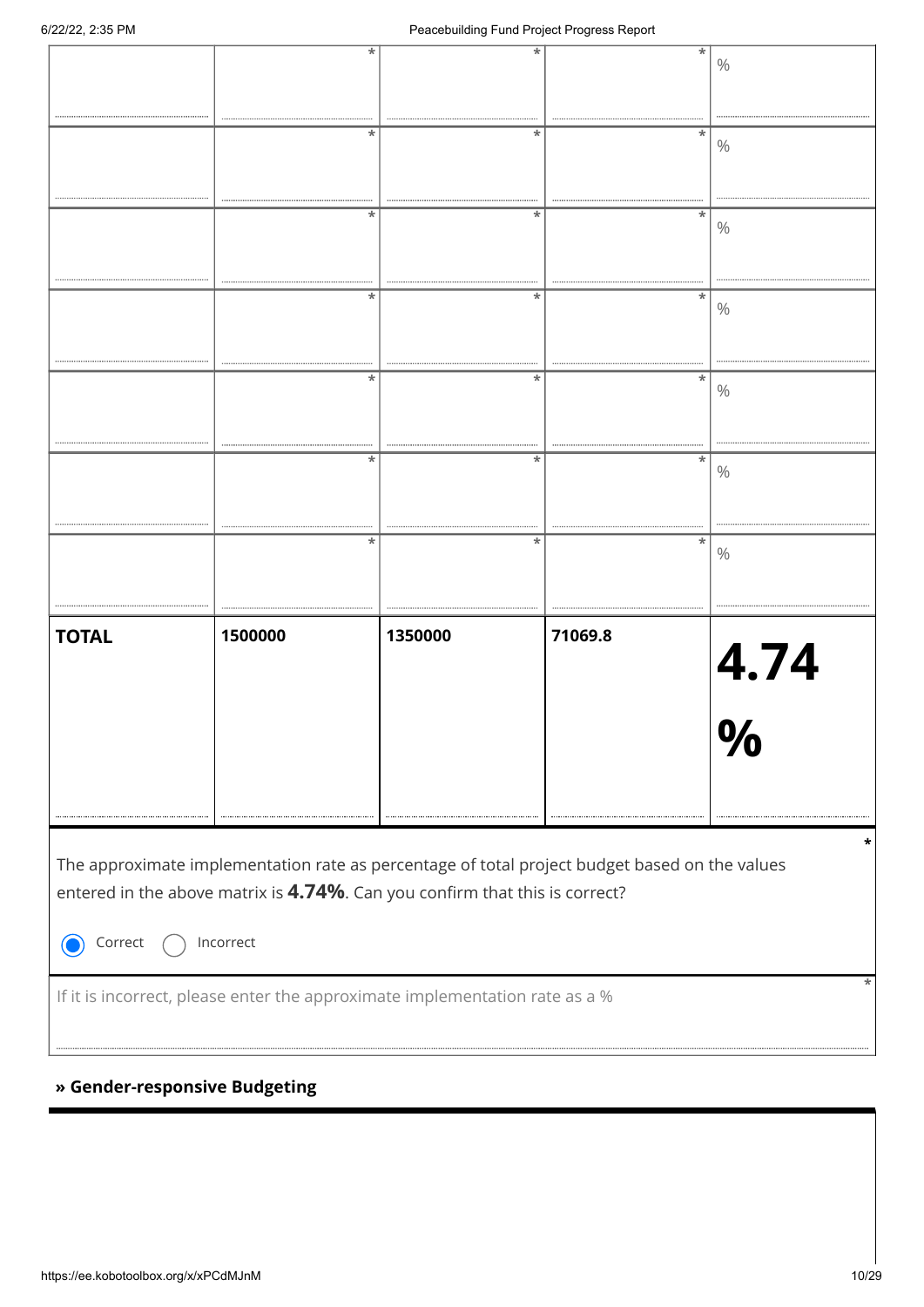| *<br>*<br>÷<br>$\%$<br>÷<br>*<br>$\%$<br>*<br>*<br>*<br>$\%$<br>*<br>*<br>$\ast$<br>$\%$<br>*<br>*<br>*<br>$\%$<br>*<br>*<br>$\%$<br>*<br>*<br>×<br>$\%$<br>1500000<br>71069.8<br><b>TOTAL</b><br>1350000<br>$\frac{4.74}{\frac{6}{\sqrt{2}}}$<br>U<br>The approximate implementation rate as percentage of total project budget based on the values<br>entered in the above matrix is 4.74%. Can you confirm that this is correct?<br>Incorrect<br>Correct<br>If it is incorrect, please enter the approximate implementation rate as a %<br>» Gender-responsive Budgeting |
|-----------------------------------------------------------------------------------------------------------------------------------------------------------------------------------------------------------------------------------------------------------------------------------------------------------------------------------------------------------------------------------------------------------------------------------------------------------------------------------------------------------------------------------------------------------------------------|
|                                                                                                                                                                                                                                                                                                                                                                                                                                                                                                                                                                             |
|                                                                                                                                                                                                                                                                                                                                                                                                                                                                                                                                                                             |
|                                                                                                                                                                                                                                                                                                                                                                                                                                                                                                                                                                             |
|                                                                                                                                                                                                                                                                                                                                                                                                                                                                                                                                                                             |
|                                                                                                                                                                                                                                                                                                                                                                                                                                                                                                                                                                             |
|                                                                                                                                                                                                                                                                                                                                                                                                                                                                                                                                                                             |
|                                                                                                                                                                                                                                                                                                                                                                                                                                                                                                                                                                             |
|                                                                                                                                                                                                                                                                                                                                                                                                                                                                                                                                                                             |
|                                                                                                                                                                                                                                                                                                                                                                                                                                                                                                                                                                             |
|                                                                                                                                                                                                                                                                                                                                                                                                                                                                                                                                                                             |
|                                                                                                                                                                                                                                                                                                                                                                                                                                                                                                                                                                             |
|                                                                                                                                                                                                                                                                                                                                                                                                                                                                                                                                                                             |
|                                                                                                                                                                                                                                                                                                                                                                                                                                                                                                                                                                             |
|                                                                                                                                                                                                                                                                                                                                                                                                                                                                                                                                                                             |
|                                                                                                                                                                                                                                                                                                                                                                                                                                                                                                                                                                             |
|                                                                                                                                                                                                                                                                                                                                                                                                                                                                                                                                                                             |
|                                                                                                                                                                                                                                                                                                                                                                                                                                                                                                                                                                             |
|                                                                                                                                                                                                                                                                                                                                                                                                                                                                                                                                                                             |
|                                                                                                                                                                                                                                                                                                                                                                                                                                                                                                                                                                             |
|                                                                                                                                                                                                                                                                                                                                                                                                                                                                                                                                                                             |
|                                                                                                                                                                                                                                                                                                                                                                                                                                                                                                                                                                             |
|                                                                                                                                                                                                                                                                                                                                                                                                                                                                                                                                                                             |
|                                                                                                                                                                                                                                                                                                                                                                                                                                                                                                                                                                             |
|                                                                                                                                                                                                                                                                                                                                                                                                                                                                                                                                                                             |
|                                                                                                                                                                                                                                                                                                                                                                                                                                                                                                                                                                             |
|                                                                                                                                                                                                                                                                                                                                                                                                                                                                                                                                                                             |
|                                                                                                                                                                                                                                                                                                                                                                                                                                                                                                                                                                             |
|                                                                                                                                                                                                                                                                                                                                                                                                                                                                                                                                                                             |
|                                                                                                                                                                                                                                                                                                                                                                                                                                                                                                                                                                             |
|                                                                                                                                                                                                                                                                                                                                                                                                                                                                                                                                                                             |
|                                                                                                                                                                                                                                                                                                                                                                                                                                                                                                                                                                             |
|                                                                                                                                                                                                                                                                                                                                                                                                                                                                                                                                                                             |
|                                                                                                                                                                                                                                                                                                                                                                                                                                                                                                                                                                             |
|                                                                                                                                                                                                                                                                                                                                                                                                                                                                                                                                                                             |
|                                                                                                                                                                                                                                                                                                                                                                                                                                                                                                                                                                             |
|                                                                                                                                                                                                                                                                                                                                                                                                                                                                                                                                                                             |
|                                                                                                                                                                                                                                                                                                                                                                                                                                                                                                                                                                             |
|                                                                                                                                                                                                                                                                                                                                                                                                                                                                                                                                                                             |
|                                                                                                                                                                                                                                                                                                                                                                                                                                                                                                                                                                             |
|                                                                                                                                                                                                                                                                                                                                                                                                                                                                                                                                                                             |
|                                                                                                                                                                                                                                                                                                                                                                                                                                                                                                                                                                             |
|                                                                                                                                                                                                                                                                                                                                                                                                                                                                                                                                                                             |
|                                                                                                                                                                                                                                                                                                                                                                                                                                                                                                                                                                             |

### **» Gender-responsive Budgeting**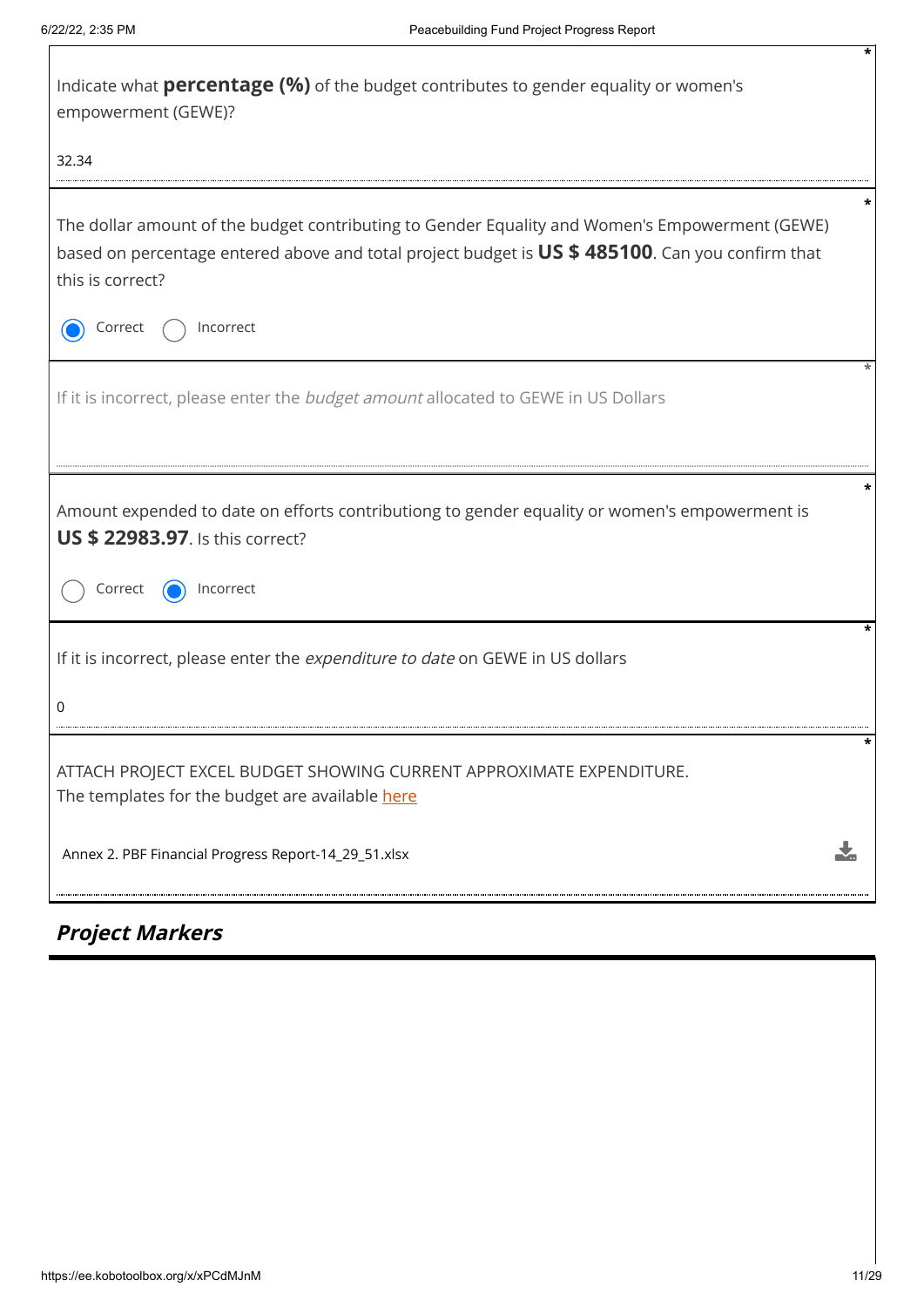| Indicate what <b>percentage (%)</b> of the budget contributes to gender equality or women's<br>empowerment (GEWE)?                                                                                                     |  |
|------------------------------------------------------------------------------------------------------------------------------------------------------------------------------------------------------------------------|--|
| 32.34                                                                                                                                                                                                                  |  |
| The dollar amount of the budget contributing to Gender Equality and Women's Empowerment (GEWE)<br>based on percentage entered above and total project budget is US \$ 485100. Can you confirm that<br>this is correct? |  |
| Incorrect<br>Correct                                                                                                                                                                                                   |  |
| If it is incorrect, please enter the <i>budget amount</i> allocated to GEWE in US Dollars                                                                                                                              |  |
| Amount expended to date on efforts contributiong to gender equality or women's empowerment is<br><b>US \$ 22983.97.</b> Is this correct?                                                                               |  |
| Correct<br>Incorrect                                                                                                                                                                                                   |  |
| If it is incorrect, please enter the expenditure to date on GEWE in US dollars                                                                                                                                         |  |
|                                                                                                                                                                                                                        |  |
| ATTACH PROJECT EXCEL BUDGET SHOWING CURRENT APPROXIMATE EXPENDITURE.<br>The templates for the budget are available here                                                                                                |  |
| Annex 2. PBF Financial Progress Report-14_29_51.xlsx                                                                                                                                                                   |  |

# **Project Markers**

**\***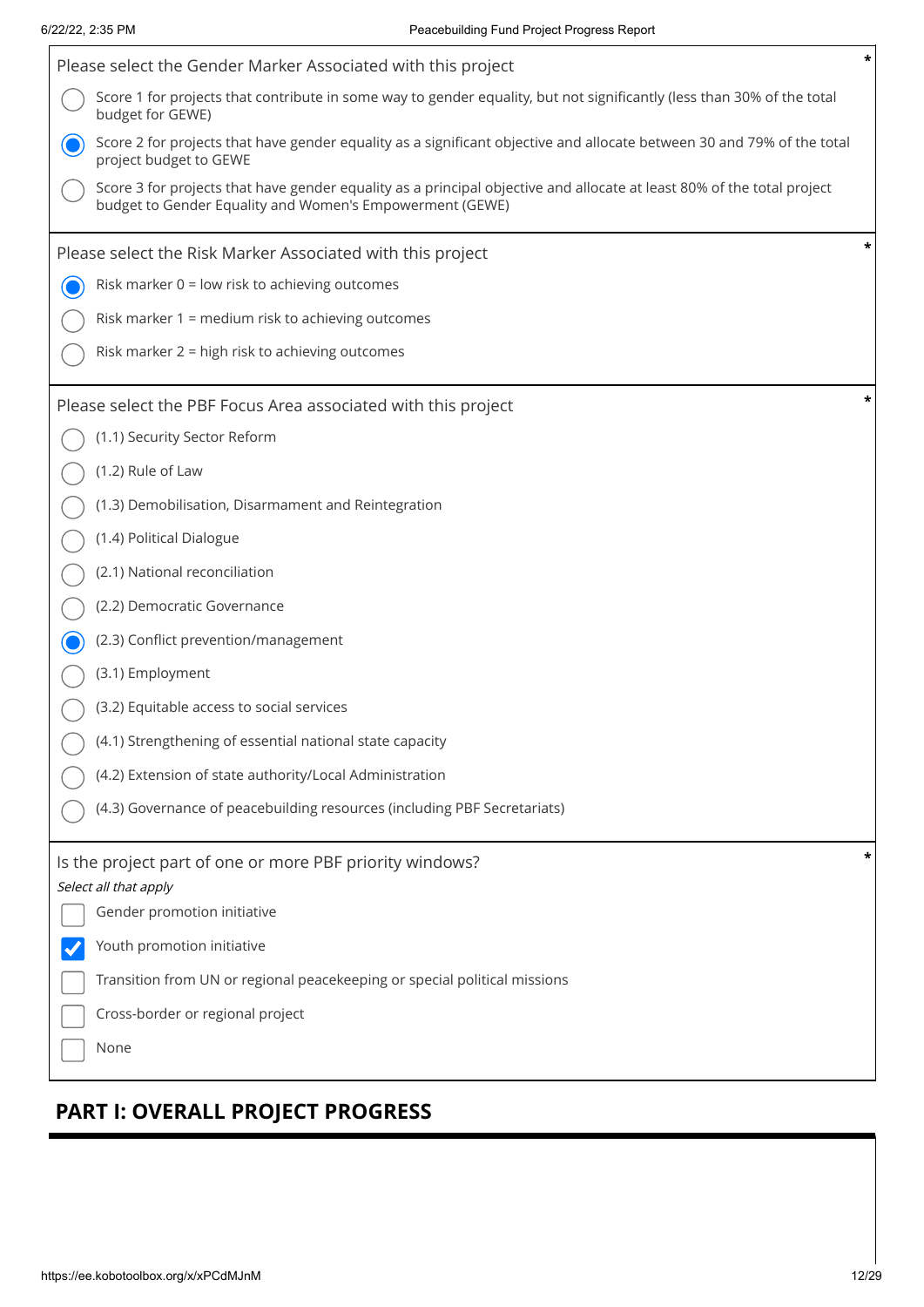Í

| Please select the Gender Marker Associated with this project                                                                                                                       | * |
|------------------------------------------------------------------------------------------------------------------------------------------------------------------------------------|---|
| Score 1 for projects that contribute in some way to gender equality, but not significantly (less than 30% of the total<br>budget for GEWE)                                         |   |
| Score 2 for projects that have gender equality as a significant objective and allocate between 30 and 79% of the total<br>project budget to GEWE                                   |   |
| Score 3 for projects that have gender equality as a principal objective and allocate at least 80% of the total project<br>budget to Gender Equality and Women's Empowerment (GEWE) |   |
| Please select the Risk Marker Associated with this project                                                                                                                         |   |
| Risk marker $0 =$ low risk to achieving outcomes                                                                                                                                   |   |
| Risk marker 1 = medium risk to achieving outcomes                                                                                                                                  |   |
| Risk marker 2 = high risk to achieving outcomes                                                                                                                                    |   |
| Please select the PBF Focus Area associated with this project                                                                                                                      |   |
| (1.1) Security Sector Reform                                                                                                                                                       |   |
| (1.2) Rule of Law                                                                                                                                                                  |   |
| (1.3) Demobilisation, Disarmament and Reintegration                                                                                                                                |   |
| (1.4) Political Dialogue                                                                                                                                                           |   |
| (2.1) National reconciliation                                                                                                                                                      |   |
| (2.2) Democratic Governance                                                                                                                                                        |   |
| (2.3) Conflict prevention/management                                                                                                                                               |   |
| (3.1) Employment                                                                                                                                                                   |   |
| (3.2) Equitable access to social services                                                                                                                                          |   |
| (4.1) Strengthening of essential national state capacity                                                                                                                           |   |
| (4.2) Extension of state authority/Local Administration                                                                                                                            |   |
| (4.3) Governance of peacebuilding resources (including PBF Secretariats)                                                                                                           |   |
| Is the project part of one or more PBF priority windows?                                                                                                                           |   |
| Select all that apply<br>Gender promotion initiative                                                                                                                               |   |
| Youth promotion initiative                                                                                                                                                         |   |
| Transition from UN or regional peacekeeping or special political missions                                                                                                          |   |
| Cross-border or regional project                                                                                                                                                   |   |
| None                                                                                                                                                                               |   |
|                                                                                                                                                                                    |   |

# **PART I: OVERALL PROJECT PROGRESS**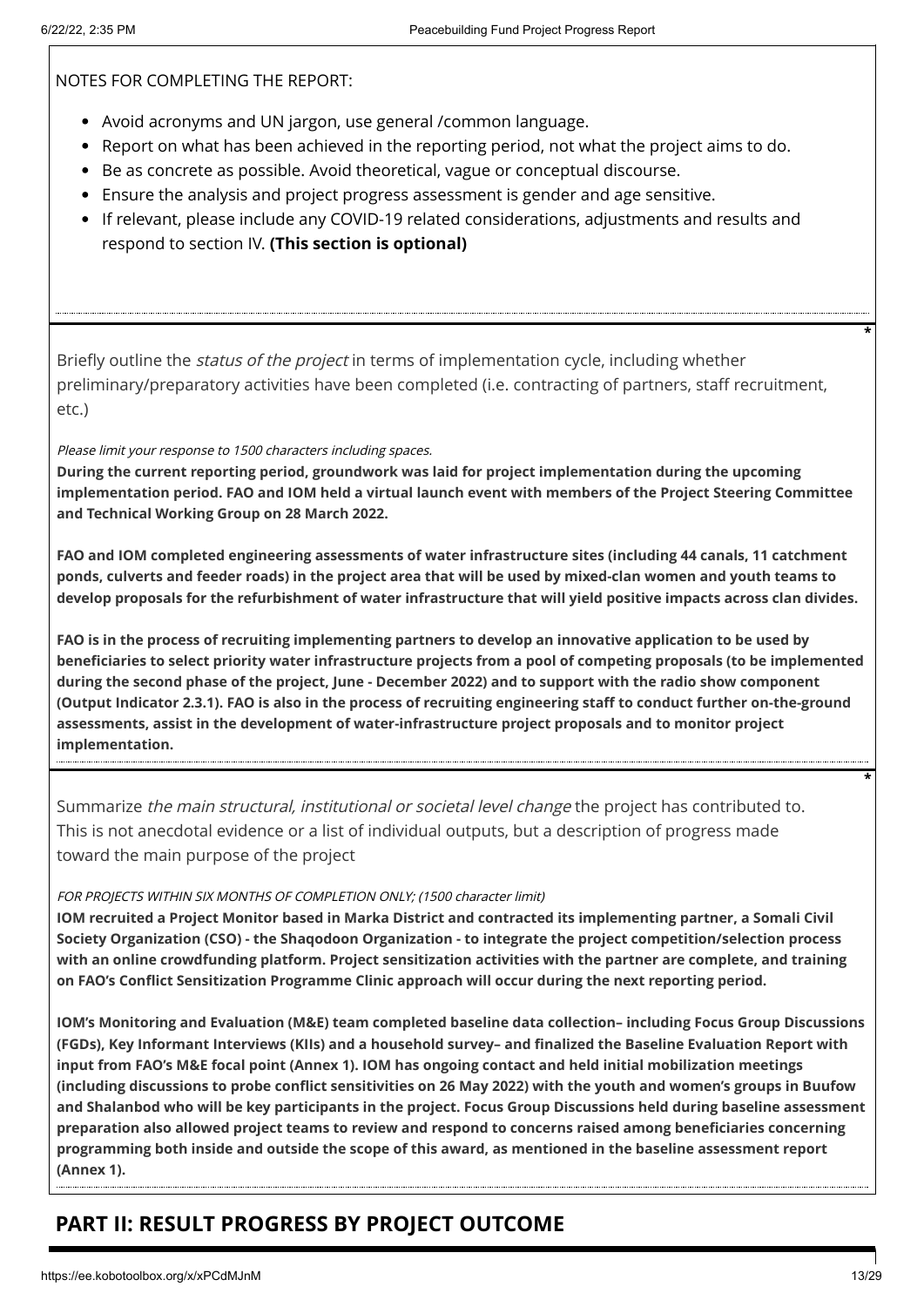NOTES FOR COMPLETING THE REPORT:

- Avoid acronyms and UN jargon, use general /common language.
- Report on what has been achieved in the reporting period, not what the project aims to do.
- **Be as concrete as possible. Avoid theoretical, vague or conceptual discourse.**
- Ensure the analysis and project progress assessment is gender and age sensitive.
- If relevant, please include any COVID-19 related considerations, adjustments and results and respond to section IV. **(This section is optional)**

Briefly outline the *status of the project* in terms of implementation cycle, including whether preliminary/preparatory activities have been completed (i.e. contracting of partners, staff recruitment, etc.)

### Please limit your response to 1500 characters including spaces.

**During the current reporting period, groundwork was laid for project implementation during the upcoming implementation period. FAO and IOM held a virtual launch event with members of the Project Steering Committee and Technical Working Group on 28 March 2022.** 

**FAO and IOM completed engineering assessments of water infrastructure sites (including 44 canals, 11 catchment ponds, culverts and feeder roads) in the project area that will be used by mixed-clan women and youth teams to develop proposals for the refurbishment of water infrastructure that will yield positive impacts across clan divides.**

**FAO is in the process of recruiting implementing partners to develop an innovative application to be used by beneficiaries to select priority water infrastructure projects from a pool of competing proposals (to be implemented during the second phase of the project, June - December 2022) and to support with the radio show component (Output Indicator 2.3.1). FAO is also in the process of recruiting engineering staff to conduct further on-the-ground assessments, assist in the development of water-infrastructure project proposals and to monitor project implementation.** 

Summarize the main structural, institutional or societal level change the project has contributed to. This is not anecdotal evidence or a list of individual outputs, but a description of progress made toward the main purpose of the project

### FOR PROJECTS WITHIN SIX MONTHS OF COMPLETION ONLY; (1500 character limit)

**IOM recruited a Project Monitor based in Marka District and contracted its implementing partner, a Somali Civil Society Organization (CSO) - the Shaqodoon Organization - to integrate the project competition/selection process with an online crowdfunding platform. Project sensitization activities with the partner are complete, and training on FAO's Conflict Sensitization Programme Clinic approach will occur during the next reporting period.**

**IOM's Monitoring and Evaluation (M&E) team completed baseline data collection– including Focus Group Discussions (FGDs), Key Informant Interviews (KIIs) and a household survey– and finalized the Baseline Evaluation Report with input from FAO's M&E focal point (Annex 1). IOM has ongoing contact and held initial mobilization meetings (including discussions to probe conflict sensitivities on 26 May 2022) with the youth and women's groups in Buufow and Shalanbod who will be key participants in the project. Focus Group Discussions held during baseline assessment preparation also allowed project teams to review and respond to concerns raised among beneficiaries concerning programming both inside and outside the scope of this award, as mentioned in the baseline assessment report (Annex 1).** 

## **PART II: RESULT PROGRESS BY PROJECT OUTCOME**

**\***

**\***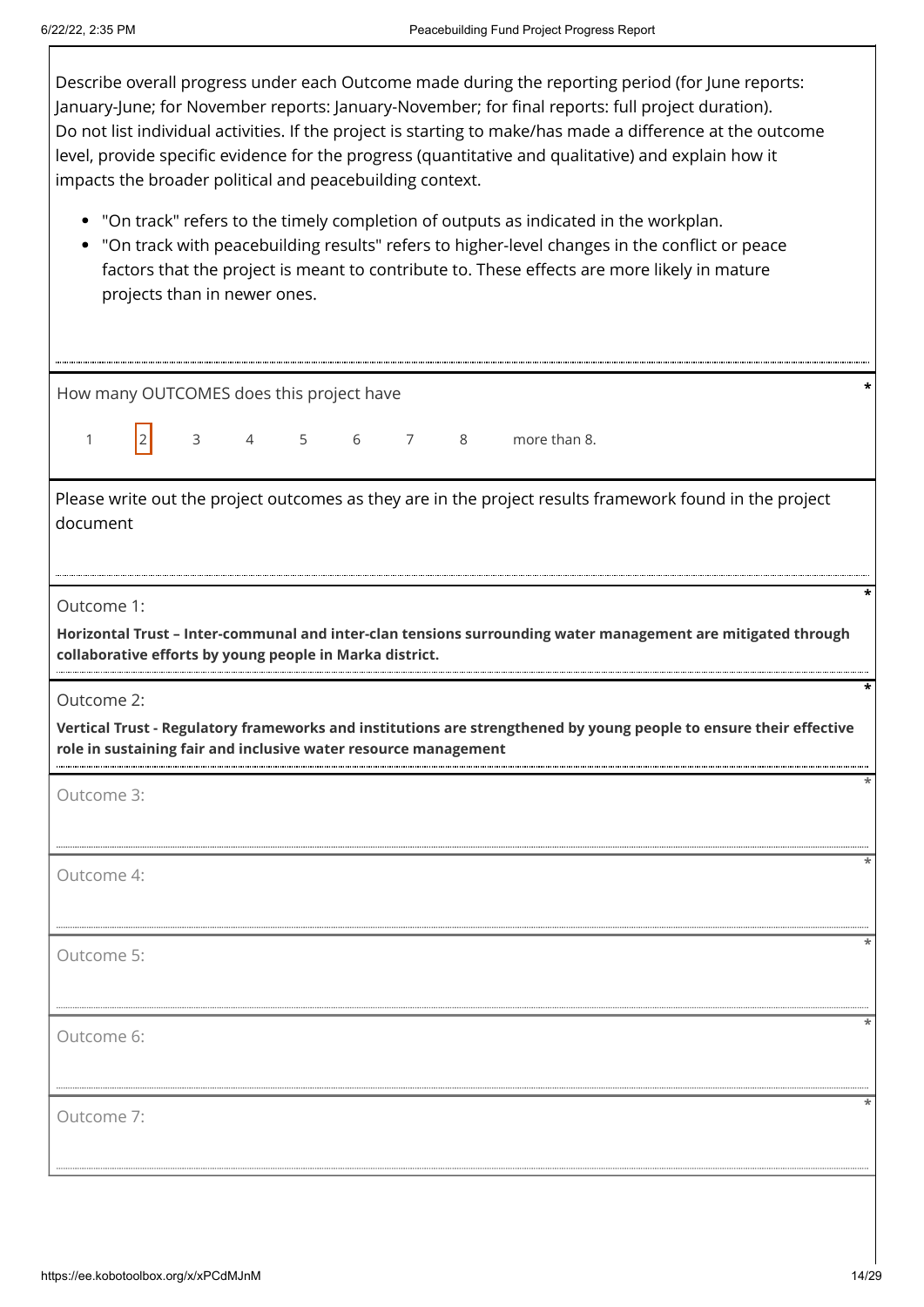$\overline{\phantom{a}}$ 

| Describe overall progress under each Outcome made during the reporting period (for June reports:<br>January-June; for November reports: January-November; for final reports: full project duration).<br>Do not list individual activities. If the project is starting to make/has made a difference at the outcome<br>level, provide specific evidence for the progress (quantitative and qualitative) and explain how it<br>impacts the broader political and peacebuilding context. |  |  |  |  |  |  |  |  |
|---------------------------------------------------------------------------------------------------------------------------------------------------------------------------------------------------------------------------------------------------------------------------------------------------------------------------------------------------------------------------------------------------------------------------------------------------------------------------------------|--|--|--|--|--|--|--|--|
| • "On track" refers to the timely completion of outputs as indicated in the workplan.<br>"On track with peacebuilding results" refers to higher-level changes in the conflict or peace<br>factors that the project is meant to contribute to. These effects are more likely in mature<br>projects than in newer ones.                                                                                                                                                                 |  |  |  |  |  |  |  |  |
| How many OUTCOMES does this project have                                                                                                                                                                                                                                                                                                                                                                                                                                              |  |  |  |  |  |  |  |  |
| 4 5<br>6 7<br>3<br>8<br>more than 8.<br>1                                                                                                                                                                                                                                                                                                                                                                                                                                             |  |  |  |  |  |  |  |  |
| Please write out the project outcomes as they are in the project results framework found in the project<br>document                                                                                                                                                                                                                                                                                                                                                                   |  |  |  |  |  |  |  |  |
| Outcome 1:<br>Horizontal Trust - Inter-communal and inter-clan tensions surrounding water management are mitigated through<br>collaborative efforts by young people in Marka district.                                                                                                                                                                                                                                                                                                |  |  |  |  |  |  |  |  |
| Outcome 2:<br>Vertical Trust - Regulatory frameworks and institutions are strengthened by young people to ensure their effective<br>role in sustaining fair and inclusive water resource management                                                                                                                                                                                                                                                                                   |  |  |  |  |  |  |  |  |
| Outcome 3:                                                                                                                                                                                                                                                                                                                                                                                                                                                                            |  |  |  |  |  |  |  |  |
| Outcome 4:                                                                                                                                                                                                                                                                                                                                                                                                                                                                            |  |  |  |  |  |  |  |  |
| Outcome 5:                                                                                                                                                                                                                                                                                                                                                                                                                                                                            |  |  |  |  |  |  |  |  |
| Outcome 6:                                                                                                                                                                                                                                                                                                                                                                                                                                                                            |  |  |  |  |  |  |  |  |
| Outcome 7:                                                                                                                                                                                                                                                                                                                                                                                                                                                                            |  |  |  |  |  |  |  |  |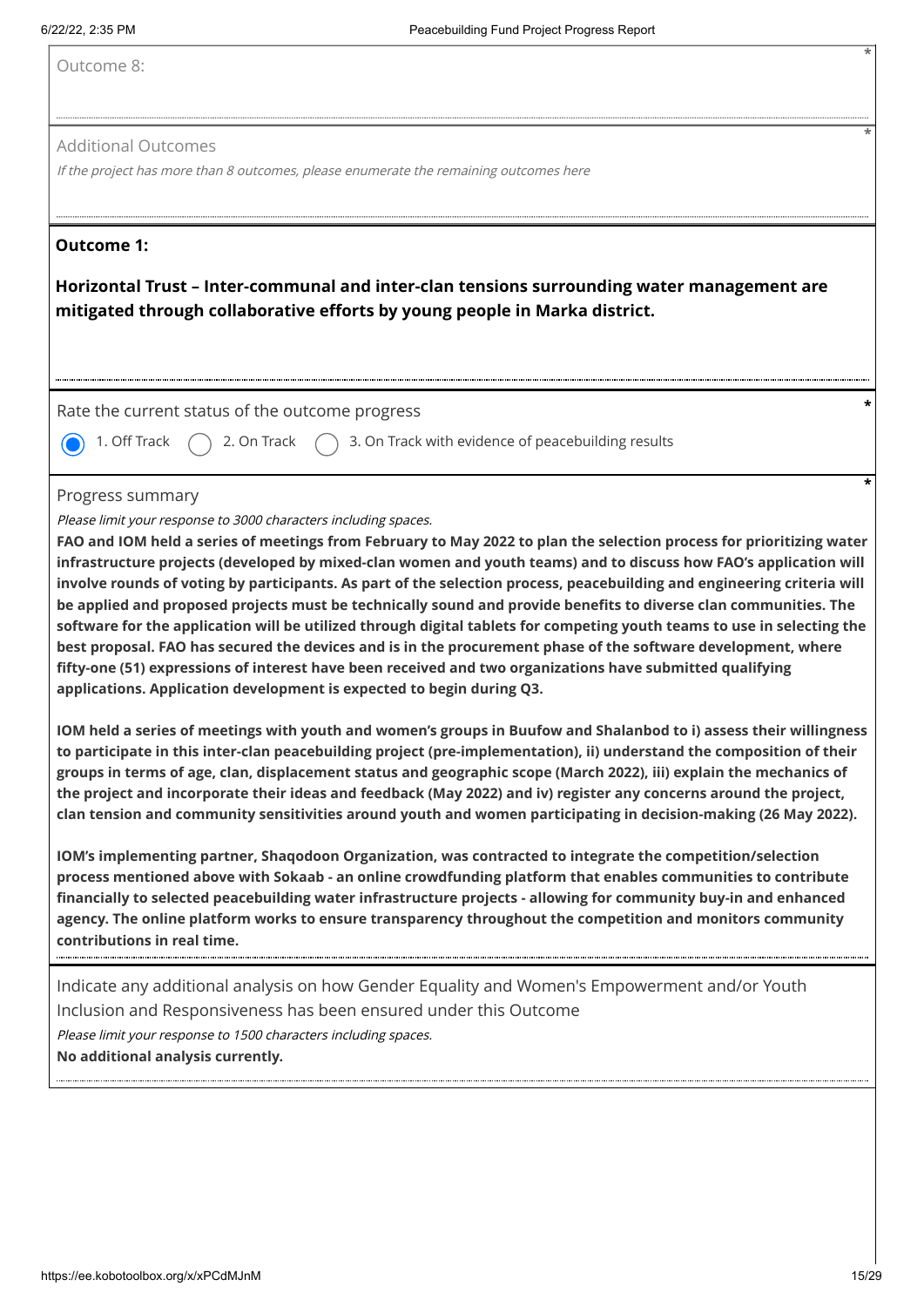Outcome 8:

#### Additional Outcomes

If the project has more than 8 outcomes, please enumerate the remaining outcomes here

### **Outcome 1:**

**Horizontal Trust – Inter-communal and inter-clan tensions surrounding water management are mitigated through collaborative efforts by young people in Marka district.**

Rate the current status of the outcome progress **\***

1. Off Track  $\bigcap$  2. On Track  $\bigcap$  3. On Track with evidence of peacebuilding results

#### Progress summary

Please limit your response to 3000 characters including spaces.

**FAO and IOM held a series of meetings from February to May 2022 to plan the selection process for prioritizing water infrastructure projects (developed by mixed-clan women and youth teams) and to discuss how FAO's application will involve rounds of voting by participants. As part of the selection process, peacebuilding and engineering criteria will be applied and proposed projects must be technically sound and provide benefits to diverse clan communities. The software for the application will be utilized through digital tablets for competing youth teams to use in selecting the best proposal. FAO has secured the devices and is in the procurement phase of the software development, where fifty-one (51) expressions of interest have been received and two organizations have submitted qualifying applications. Application development is expected to begin during Q3.** 

**IOM held a series of meetings with youth and women's groups in Buufow and Shalanbod to i) assess their willingness to participate in this inter-clan peacebuilding project (pre-implementation), ii) understand the composition of their groups in terms of age, clan, displacement status and geographic scope (March 2022), iii) explain the mechanics of the project and incorporate their ideas and feedback (May 2022) and iv) register any concerns around the project, clan tension and community sensitivities around youth and women participating in decision-making (26 May 2022).** 

**IOM's implementing partner, Shaqodoon Organization, was contracted to integrate the competition/selection process mentioned above with Sokaab - an online crowdfunding platform that enables communities to contribute financially to selected peacebuilding water infrastructure projects - allowing for community buy-in and enhanced agency. The online platform works to ensure transparency throughout the competition and monitors community contributions in real time.** 

Indicate any additional analysis on how Gender Equality and Women's Empowerment and/or Youth Inclusion and Responsiveness has been ensured under this Outcome Please limit your response to 1500 characters including spaces. **No additional analysis currently.**

**\***

**\***

**\***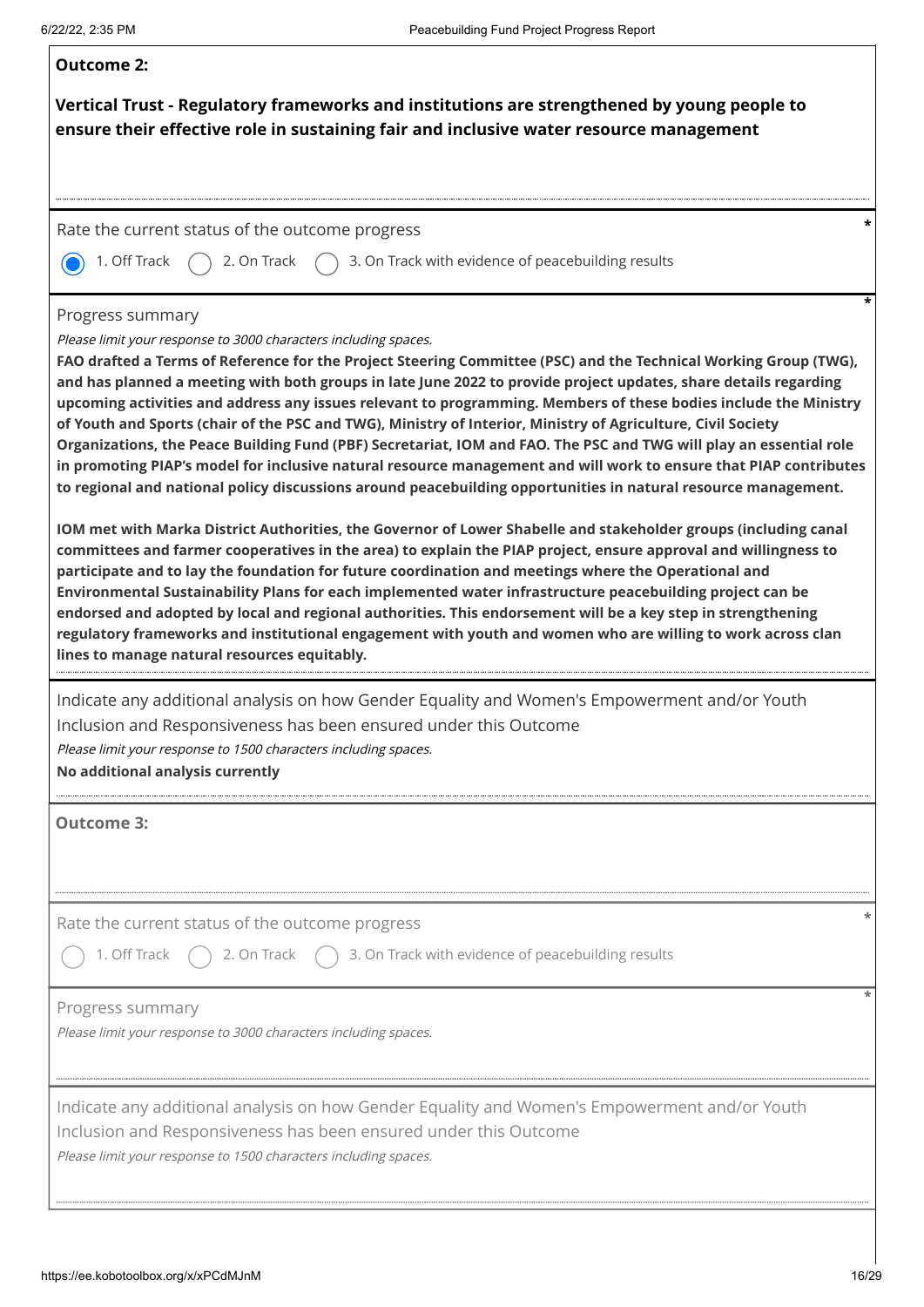| <b>Outcome 2:</b>                                                                                                                                                                                                                                                                                                                                                                                                                                                                                                                                                                                                                                                                                                                                                                                                                                                                                                                                                                                                                                                                                                                                                                                                                                                                                                                                                                                                                                                                                                                                                                                                                                                      |
|------------------------------------------------------------------------------------------------------------------------------------------------------------------------------------------------------------------------------------------------------------------------------------------------------------------------------------------------------------------------------------------------------------------------------------------------------------------------------------------------------------------------------------------------------------------------------------------------------------------------------------------------------------------------------------------------------------------------------------------------------------------------------------------------------------------------------------------------------------------------------------------------------------------------------------------------------------------------------------------------------------------------------------------------------------------------------------------------------------------------------------------------------------------------------------------------------------------------------------------------------------------------------------------------------------------------------------------------------------------------------------------------------------------------------------------------------------------------------------------------------------------------------------------------------------------------------------------------------------------------------------------------------------------------|
| Vertical Trust - Regulatory frameworks and institutions are strengthened by young people to<br>ensure their effective role in sustaining fair and inclusive water resource management                                                                                                                                                                                                                                                                                                                                                                                                                                                                                                                                                                                                                                                                                                                                                                                                                                                                                                                                                                                                                                                                                                                                                                                                                                                                                                                                                                                                                                                                                  |
|                                                                                                                                                                                                                                                                                                                                                                                                                                                                                                                                                                                                                                                                                                                                                                                                                                                                                                                                                                                                                                                                                                                                                                                                                                                                                                                                                                                                                                                                                                                                                                                                                                                                        |
| Rate the current status of the outcome progress                                                                                                                                                                                                                                                                                                                                                                                                                                                                                                                                                                                                                                                                                                                                                                                                                                                                                                                                                                                                                                                                                                                                                                                                                                                                                                                                                                                                                                                                                                                                                                                                                        |
| 1. Off Track<br>3. On Track with evidence of peacebuilding results<br>2. On Track                                                                                                                                                                                                                                                                                                                                                                                                                                                                                                                                                                                                                                                                                                                                                                                                                                                                                                                                                                                                                                                                                                                                                                                                                                                                                                                                                                                                                                                                                                                                                                                      |
| Progress summary<br>Please limit your response to 3000 characters including spaces.<br>FAO drafted a Terms of Reference for the Project Steering Committee (PSC) and the Technical Working Group (TWG),<br>and has planned a meeting with both groups in late June 2022 to provide project updates, share details regarding<br>upcoming activities and address any issues relevant to programming. Members of these bodies include the Ministry<br>of Youth and Sports (chair of the PSC and TWG), Ministry of Interior, Ministry of Agriculture, Civil Society<br>Organizations, the Peace Building Fund (PBF) Secretariat, IOM and FAO. The PSC and TWG will play an essential role<br>in promoting PIAP's model for inclusive natural resource management and will work to ensure that PIAP contributes<br>to regional and national policy discussions around peacebuilding opportunities in natural resource management.<br>IOM met with Marka District Authorities, the Governor of Lower Shabelle and stakeholder groups (including canal<br>committees and farmer cooperatives in the area) to explain the PIAP project, ensure approval and willingness to<br>participate and to lay the foundation for future coordination and meetings where the Operational and<br>Environmental Sustainability Plans for each implemented water infrastructure peacebuilding project can be<br>endorsed and adopted by local and regional authorities. This endorsement will be a key step in strengthening<br>regulatory frameworks and institutional engagement with youth and women who are willing to work across clan<br>lines to manage natural resources equitably. |
| Indicate any additional analysis on how Gender Equality and Women's Empowerment and/or Youth<br>Inclusion and Responsiveness has been ensured under this Outcome<br>Please limit your response to 1500 characters including spaces.<br>No additional analysis currently                                                                                                                                                                                                                                                                                                                                                                                                                                                                                                                                                                                                                                                                                                                                                                                                                                                                                                                                                                                                                                                                                                                                                                                                                                                                                                                                                                                                |
| <b>Outcome 3:</b>                                                                                                                                                                                                                                                                                                                                                                                                                                                                                                                                                                                                                                                                                                                                                                                                                                                                                                                                                                                                                                                                                                                                                                                                                                                                                                                                                                                                                                                                                                                                                                                                                                                      |
| Rate the current status of the outcome progress<br>$\binom{1}{2}$ 3. On Track with evidence of peacebuilding results<br>1. Off Track<br>2. On Track                                                                                                                                                                                                                                                                                                                                                                                                                                                                                                                                                                                                                                                                                                                                                                                                                                                                                                                                                                                                                                                                                                                                                                                                                                                                                                                                                                                                                                                                                                                    |
| Progress summary<br>Please limit your response to 3000 characters including spaces.                                                                                                                                                                                                                                                                                                                                                                                                                                                                                                                                                                                                                                                                                                                                                                                                                                                                                                                                                                                                                                                                                                                                                                                                                                                                                                                                                                                                                                                                                                                                                                                    |
| Indicate any additional analysis on how Gender Equality and Women's Empowerment and/or Youth<br>Inclusion and Responsiveness has been ensured under this Outcome<br>Please limit your response to 1500 characters including spaces.                                                                                                                                                                                                                                                                                                                                                                                                                                                                                                                                                                                                                                                                                                                                                                                                                                                                                                                                                                                                                                                                                                                                                                                                                                                                                                                                                                                                                                    |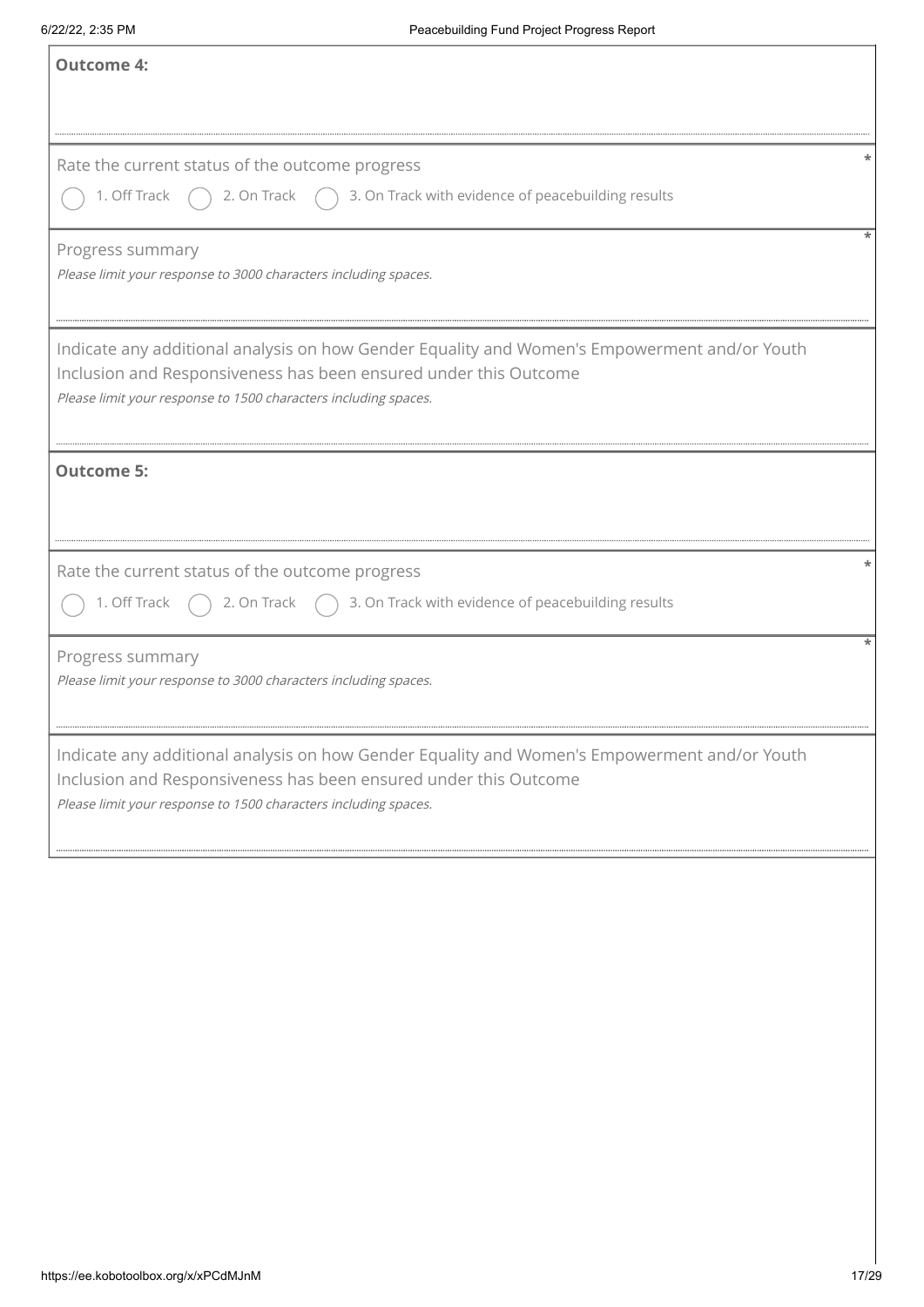| <b>Outcome 4:</b>                                                                                                                                                                                                                   |
|-------------------------------------------------------------------------------------------------------------------------------------------------------------------------------------------------------------------------------------|
|                                                                                                                                                                                                                                     |
|                                                                                                                                                                                                                                     |
| Rate the current status of the outcome progress                                                                                                                                                                                     |
| 1. Off Track<br>$\bigcap$ 3. On Track with evidence of peacebuilding results<br>2. On Track                                                                                                                                         |
| Progress summary                                                                                                                                                                                                                    |
| Please limit your response to 3000 characters including spaces.                                                                                                                                                                     |
| Indicate any additional analysis on how Gender Equality and Women's Empowerment and/or Youth                                                                                                                                        |
| Inclusion and Responsiveness has been ensured under this Outcome                                                                                                                                                                    |
| Please limit your response to 1500 characters including spaces.                                                                                                                                                                     |
| <b>Outcome 5:</b>                                                                                                                                                                                                                   |
| Rate the current status of the outcome progress                                                                                                                                                                                     |
| 3. On Track with evidence of peacebuilding results<br>1. Off Track<br>2. On Track                                                                                                                                                   |
|                                                                                                                                                                                                                                     |
| Progress summary<br>Please limit your response to 3000 characters including spaces.                                                                                                                                                 |
|                                                                                                                                                                                                                                     |
| Indicate any additional analysis on how Gender Equality and Women's Empowerment and/or Youth<br>Inclusion and Responsiveness has been ensured under this Outcome<br>Please limit your response to 1500 characters including spaces. |
|                                                                                                                                                                                                                                     |
|                                                                                                                                                                                                                                     |
|                                                                                                                                                                                                                                     |
|                                                                                                                                                                                                                                     |
|                                                                                                                                                                                                                                     |
|                                                                                                                                                                                                                                     |
|                                                                                                                                                                                                                                     |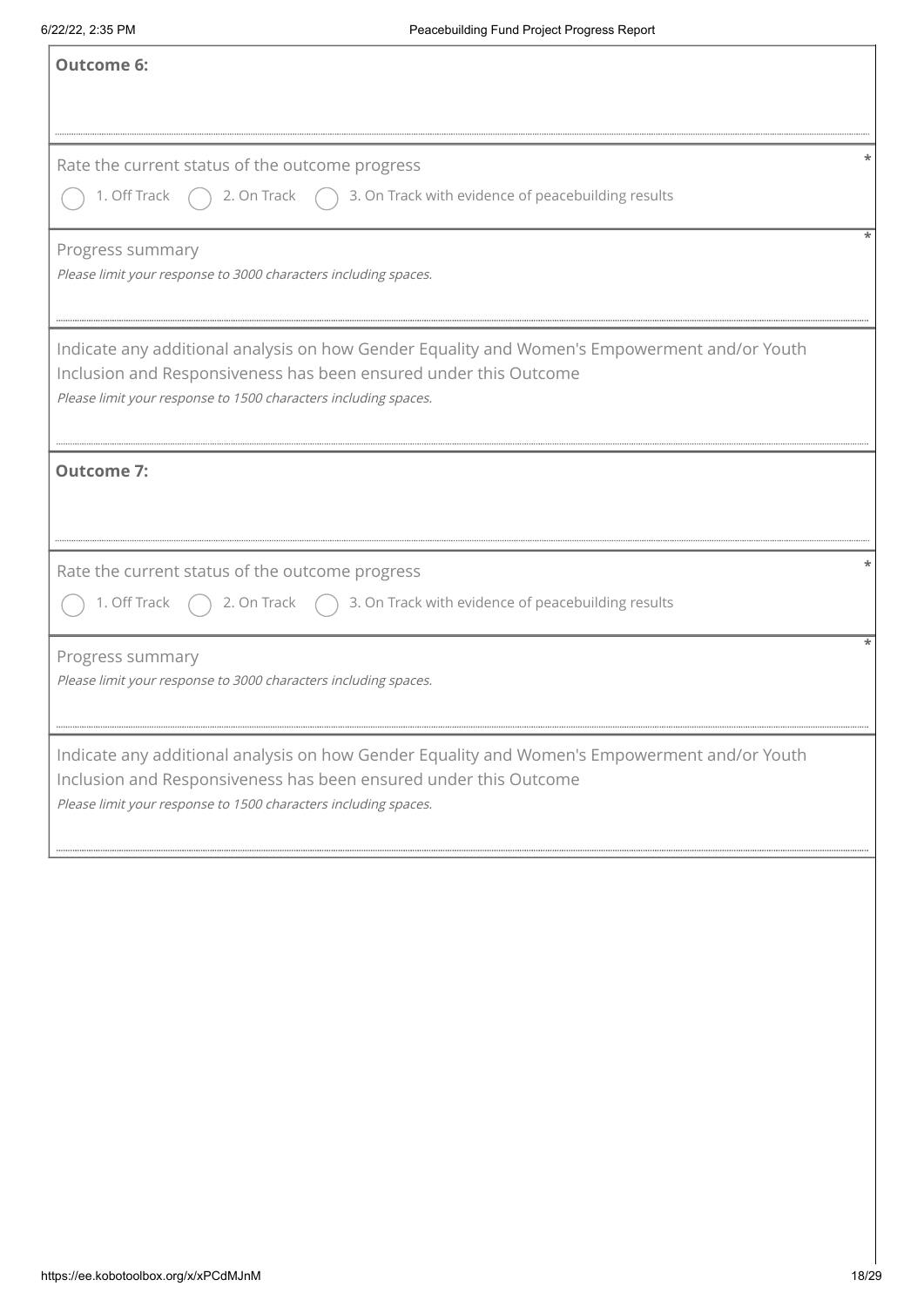| <b>Outcome 6:</b>                                                                                                                                                                                                                   |
|-------------------------------------------------------------------------------------------------------------------------------------------------------------------------------------------------------------------------------------|
|                                                                                                                                                                                                                                     |
| Rate the current status of the outcome progress<br>1. Off Track $\bigcap$ 2. On Track $\bigcap$ 3. On Track with evidence of peacebuilding results                                                                                  |
| Progress summary<br>Please limit your response to 3000 characters including spaces.                                                                                                                                                 |
| Indicate any additional analysis on how Gender Equality and Women's Empowerment and/or Youth<br>Inclusion and Responsiveness has been ensured under this Outcome<br>Please limit your response to 1500 characters including spaces. |
| <b>Outcome 7:</b>                                                                                                                                                                                                                   |
| Rate the current status of the outcome progress<br>2. On Track $\bigcap$ 3. On Track with evidence of peacebuilding results<br>1. Off Track                                                                                         |
| Progress summary<br>Please limit your response to 3000 characters including spaces.                                                                                                                                                 |
| Indicate any additional analysis on how Gender Equality and Women's Empowerment and/or Youth<br>Inclusion and Responsiveness has been ensured under this Outcome<br>Please limit your response to 1500 characters including spaces. |
|                                                                                                                                                                                                                                     |
|                                                                                                                                                                                                                                     |
|                                                                                                                                                                                                                                     |
|                                                                                                                                                                                                                                     |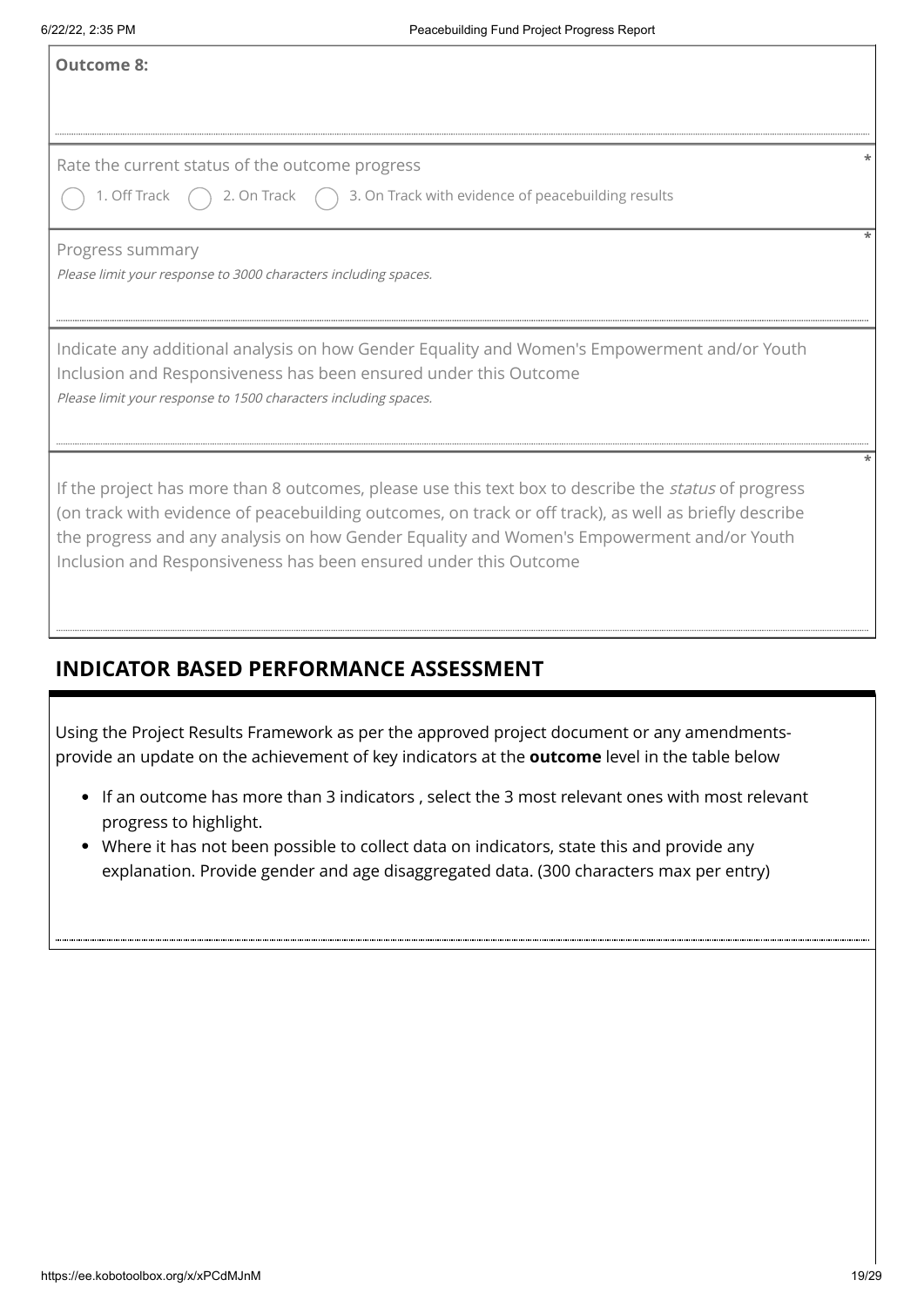T

- If an outcome has more than 3 indicators , select the 3 most relevant ones with most relevant progress to highlight.
- Where it has not been possible to collect data on indicators, state this and provide any explanation. Provide gender and age disaggregated data. (300 characters max per entry)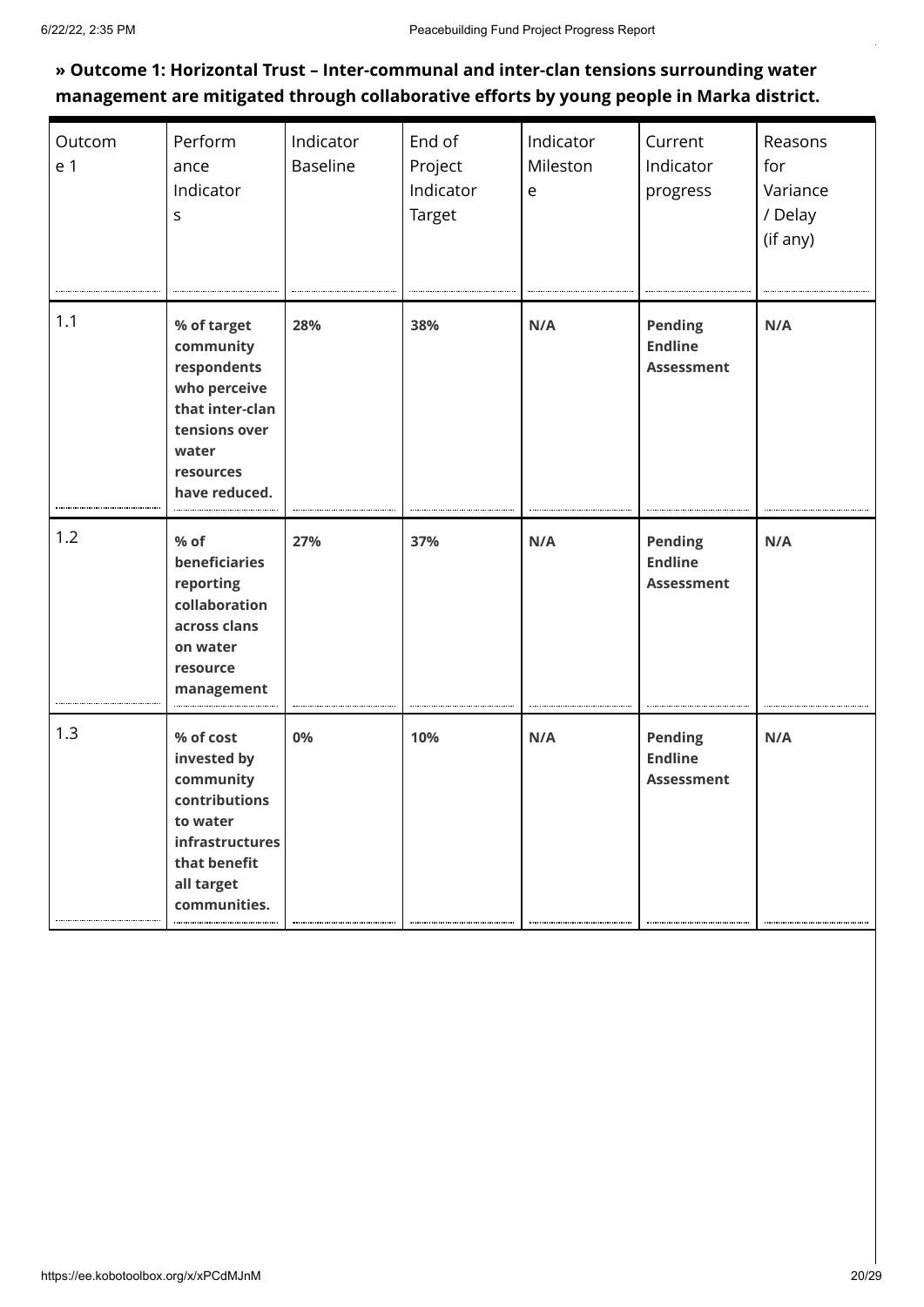### **» Outcome 1: Horizontal Trust – Inter-communal and inter-clan tensions surrounding water management are mitigated through collaborative efforts by young people in Marka district.**

| Outcom<br>e 1 | Perform<br>ance<br>Indicator<br>S                                                                                                   | Indicator<br><b>Baseline</b> | End of<br>Project<br>Indicator<br>Target | Indicator<br>Mileston<br>e | Current<br>Indicator<br>progress               | Reasons<br>for<br>Variance<br>/ Delay<br>(if any) |
|---------------|-------------------------------------------------------------------------------------------------------------------------------------|------------------------------|------------------------------------------|----------------------------|------------------------------------------------|---------------------------------------------------|
| 1.1           | % of target<br>community<br>respondents<br>who perceive<br>that inter-clan<br>tensions over<br>water<br>resources<br>have reduced.  | 28%                          | 38%                                      | N/A                        | Pending<br><b>Endline</b><br><b>Assessment</b> | N/A                                               |
| 1.2           | $%$ of<br>beneficiaries<br>reporting<br>collaboration<br>across clans<br>on water<br>resource<br>management                         | 27%                          | 37%                                      | N/A                        | Pending<br><b>Endline</b><br><b>Assessment</b> | N/A                                               |
| 1.3           | % of cost<br>invested by<br>community<br>contributions<br>to water<br>infrastructures<br>that benefit<br>all target<br>communities. | 0%                           | 10%                                      | N/A                        | Pending<br><b>Endline</b><br><b>Assessment</b> | N/A                                               |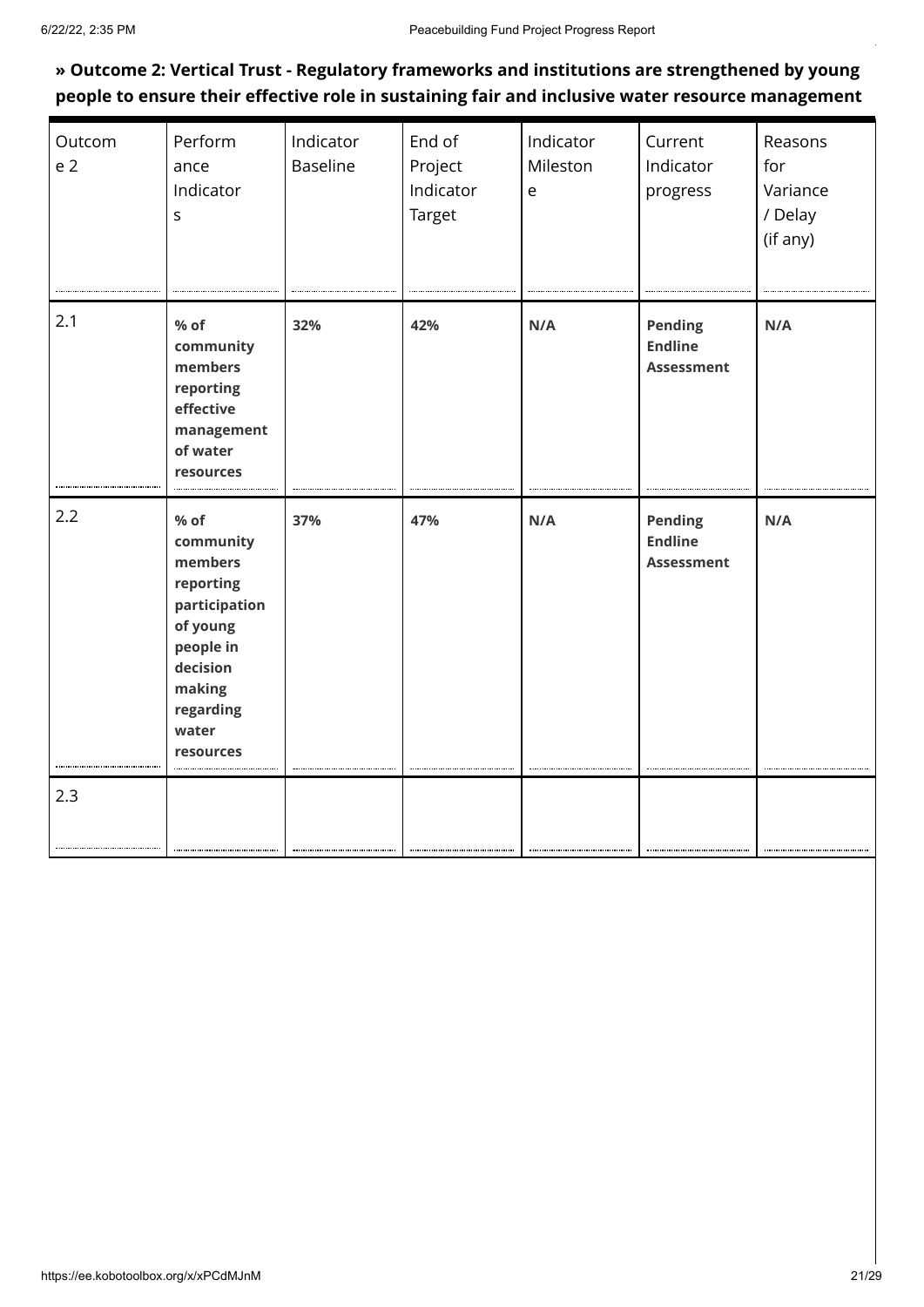### **» Outcome 2: Vertical Trust - Regulatory frameworks and institutions are strengthened by young people to ensure their effective role in sustaining fair and inclusive water resource management**

| Outcom<br>e <sub>2</sub> | Perform<br>ance<br>Indicator<br>$\sf S$                                                                                                      | Indicator<br><b>Baseline</b> | End of<br>Project<br>Indicator<br>Target | Indicator<br>Mileston<br>$\mathsf{e}$ | Current<br>Indicator<br>progress               | Reasons<br>for<br>Variance<br>/ Delay<br>(if any) |
|--------------------------|----------------------------------------------------------------------------------------------------------------------------------------------|------------------------------|------------------------------------------|---------------------------------------|------------------------------------------------|---------------------------------------------------|
| 2.1                      | % of<br>community<br>members<br>reporting<br>effective<br>management<br>of water<br>resources                                                | 32%                          | 42%                                      | N/A                                   | Pending<br><b>Endline</b><br><b>Assessment</b> | N/A                                               |
| 2.2                      | % of<br>community<br>members<br>reporting<br>participation<br>of young<br>people in<br>decision<br>making<br>regarding<br>water<br>resources | 37%                          | 47%                                      | N/A                                   | Pending<br><b>Endline</b><br><b>Assessment</b> | N/A                                               |
| 2.3                      |                                                                                                                                              |                              |                                          |                                       |                                                |                                                   |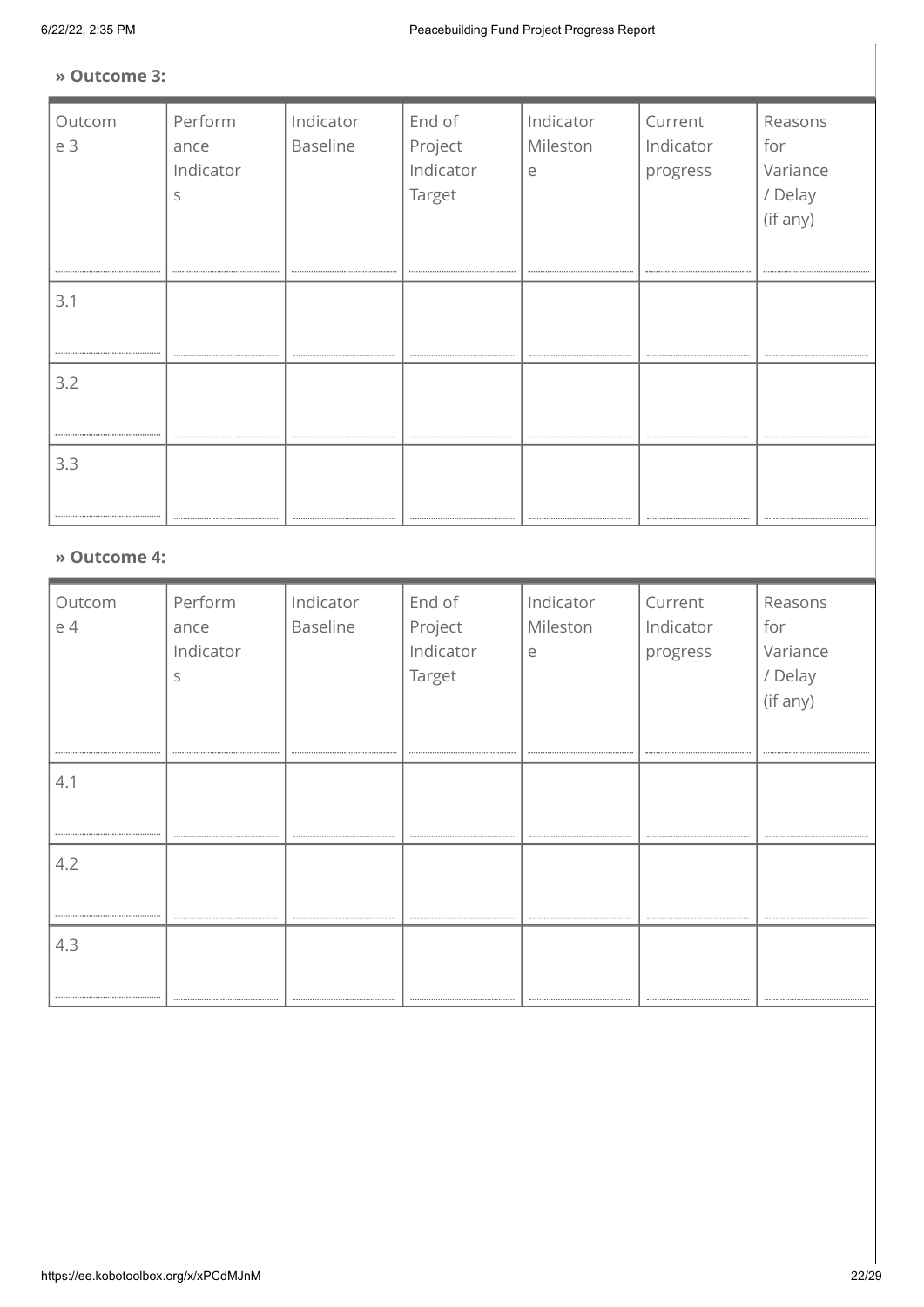#### **» Outcome 3:**

| Outcom<br>e 3 | Perform<br>ance<br>Indicator<br>S | Indicator<br>Baseline      | End of<br>Project<br>Indicator<br>Target | Indicator<br>Mileston<br>e     | Current<br>Indicator<br>progress          | Reasons<br>for<br>Variance<br>/ Delay<br>(if any) |
|---------------|-----------------------------------|----------------------------|------------------------------------------|--------------------------------|-------------------------------------------|---------------------------------------------------|
| 3.1           |                                   |                            |                                          |                                |                                           |                                                   |
| 3.2           |                                   |                            |                                          | ------------------------------ |                                           |                                                   |
| 3.3           |                                   |                            |                                          |                                |                                           |                                                   |
| » Outcome 4:  |                                   |                            |                                          |                                |                                           |                                                   |
| Outcom        | Perform                           | Indicator<br>$D = -1! + 1$ | End of<br>$D = 1 - 1$                    | Indicator<br>$A + I = -1$      | Current<br>المراجع للمراجع المراجع المراج | Reasons<br>$\mathcal{L}$ $\sim$ $\sim$            |

| Outcom | Perform   | Indicator | End of    | Indicator | Current   | Reasons  |
|--------|-----------|-----------|-----------|-----------|-----------|----------|
| e 4    | ance      | Baseline  | Project   | Mileston  | Indicator | for      |
|        | Indicator |           | Indicator | e         | progress  | Variance |
|        | S         |           | Target    |           |           | / Delay  |
|        |           |           |           |           |           | (if any) |
|        |           |           |           |           |           |          |
|        |           |           |           |           |           |          |
|        |           |           |           |           |           |          |
| 4.1    |           |           |           |           |           |          |
|        |           |           |           |           |           |          |
|        |           |           |           |           |           |          |
| 4.2    |           |           |           |           |           |          |
|        |           |           |           |           |           |          |
|        |           |           |           |           |           |          |
|        |           |           |           |           |           |          |
| 4.3    |           |           |           |           |           |          |
|        |           |           |           |           |           |          |
|        |           |           |           |           |           |          |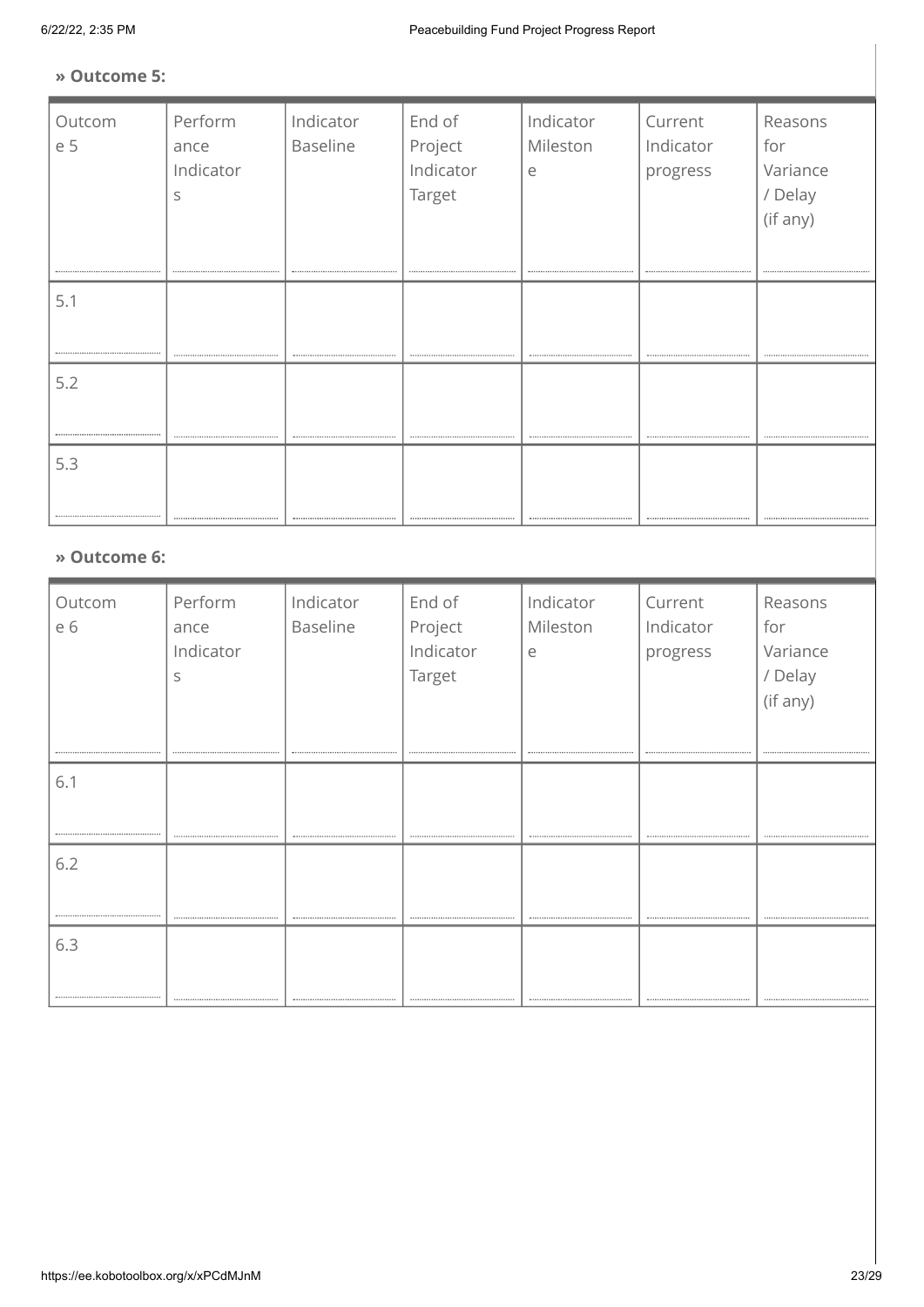#### **» Outcome 5:**

| Outcom<br>e 5        | Perform<br>ance<br>Indicator<br>S | Indicator<br>Baseline      | End of<br>Project<br>Indicator<br>Target | Indicator<br>Mileston<br>e            | Current<br>Indicator<br>progress          | Reasons<br>for<br>Variance<br>/ Delay<br>(if any) |
|----------------------|-----------------------------------|----------------------------|------------------------------------------|---------------------------------------|-------------------------------------------|---------------------------------------------------|
| 5.1                  |                                   |                            |                                          |                                       |                                           | ----------------------------------                |
| 5.2                  |                                   |                            |                                          |                                       |                                           |                                                   |
| 5.3                  |                                   |                            |                                          |                                       |                                           |                                                   |
| » Outcome 6:         |                                   |                            |                                          |                                       |                                           |                                                   |
| Outcom<br>$\sqrt{2}$ | Perform                           | Indicator<br>$D = -1! + 1$ | End of<br>$D = 1 - 1$                    | Indicator<br>$R = 4.11 + 1.41 + 1.41$ | Current<br>المراجع للمراجع المراجع المراج | Reasons<br>$\mathcal{L}$ $\sim$ $\sim$            |

| Outcom | Perform   | Indicator       | End of    | Indicator | Current   | Reasons  |
|--------|-----------|-----------------|-----------|-----------|-----------|----------|
| e 6    | ance      | <b>Baseline</b> | Project   | Mileston  | Indicator | for      |
|        | Indicator |                 | Indicator | e         | progress  | Variance |
|        | S         |                 | Target    |           |           | / Delay  |
|        |           |                 |           |           |           | (if any) |
|        |           |                 |           |           |           |          |
|        |           |                 |           |           |           |          |
|        |           |                 |           |           |           |          |
| 6.1    |           |                 |           |           |           |          |
|        |           |                 |           |           |           |          |
|        |           |                 |           |           |           |          |
| 6.2    |           |                 |           |           |           |          |
|        |           |                 |           |           |           |          |
|        |           |                 |           |           |           |          |
|        |           |                 |           |           |           |          |
| 6.3    |           |                 |           |           |           |          |
|        |           |                 |           |           |           |          |
|        |           |                 |           |           |           |          |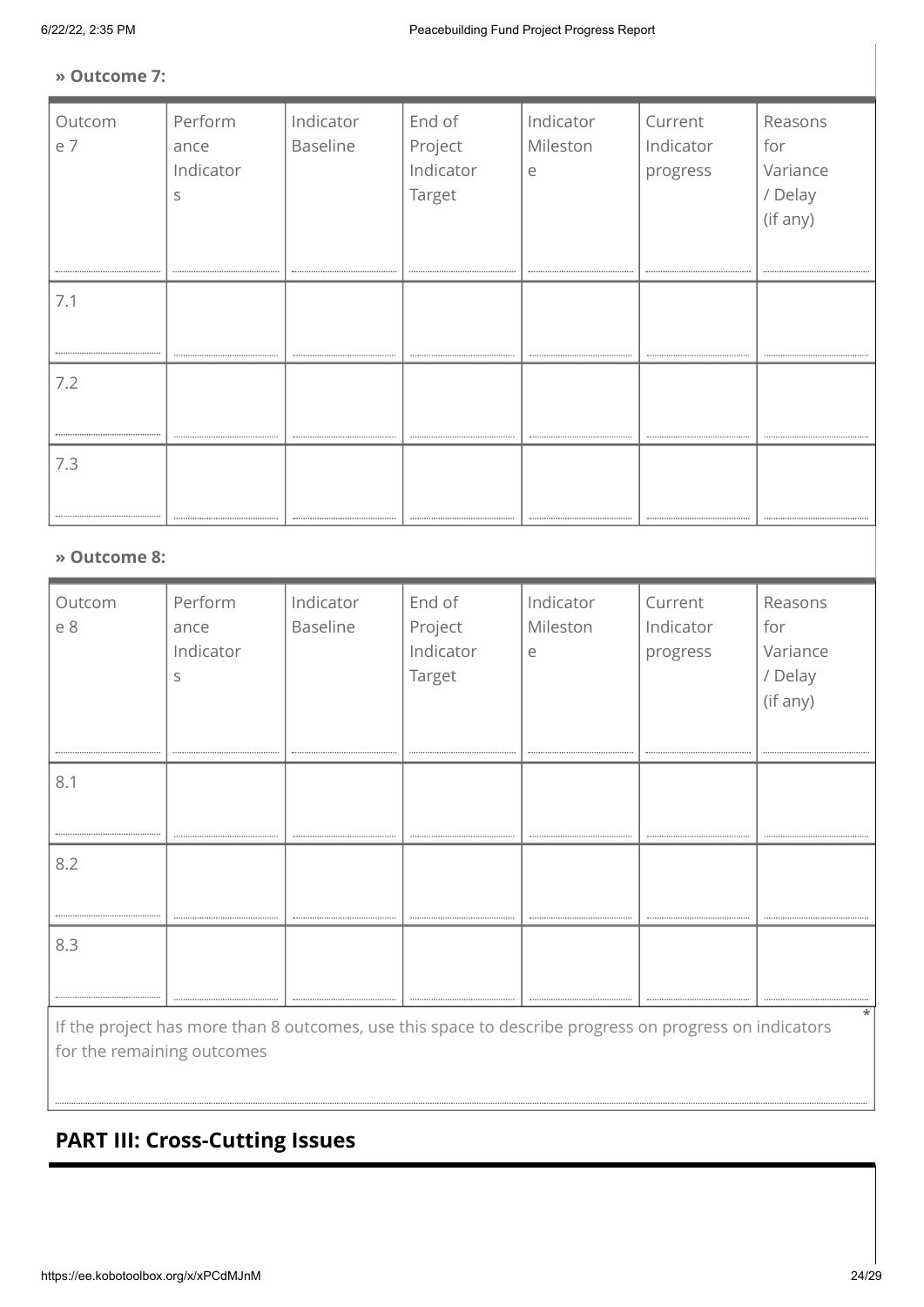### **» Outcome 7:**

| Outcom<br>e 7 | Perform<br>ance<br>Indicator<br>S | Indicator<br>Baseline | End of<br>Project<br>Indicator<br>Target | Indicator<br>Mileston<br>$\mathsf{e}% _{t}\left( t\right)$ | Current<br>Indicator<br>progress | Reasons<br>for<br>Variance<br>/ Delay<br>(if any) |
|---------------|-----------------------------------|-----------------------|------------------------------------------|------------------------------------------------------------|----------------------------------|---------------------------------------------------|
| 7.1           |                                   |                       |                                          |                                                            |                                  |                                                   |
| 7.2           |                                   |                       |                                          |                                                            |                                  |                                                   |
| 7.3           |                                   |                       |                                          |                                                            |                                  |                                                   |
| » Outcome 8:  |                                   |                       |                                          |                                                            |                                  |                                                   |
| Outcom        | Perform                           | Indicator             | End of                                   | Indicator                                                  | Current                          | Reasons                                           |

| Outcom                      | Perform   | Indicator                           | End of    | Indicator | Current                                | Reasons                           |
|-----------------------------|-----------|-------------------------------------|-----------|-----------|----------------------------------------|-----------------------------------|
| e 8                         | ance      | Baseline                            | Project   | Mileston  | Indicator                              | for                               |
|                             | Indicator |                                     | Indicator | e         | progress                               | Variance                          |
|                             | S         |                                     | Target    |           |                                        | / Delay                           |
|                             |           |                                     |           |           |                                        | (if any)                          |
|                             |           |                                     |           |           |                                        |                                   |
|                             |           |                                     |           |           |                                        | --------------------------------- |
| 8.1                         |           |                                     |           |           |                                        |                                   |
|                             |           |                                     |           |           |                                        |                                   |
|                             |           |                                     |           |           |                                        |                                   |
|                             |           |                                     |           |           |                                        |                                   |
| 8.2                         |           |                                     |           |           |                                        |                                   |
|                             |           |                                     |           |           |                                        |                                   |
|                             |           |                                     |           |           |                                        |                                   |
| 8.3                         |           |                                     |           |           |                                        |                                   |
|                             |           |                                     |           |           |                                        |                                   |
|                             |           | ----------------------------------- |           |           | -------------------------------------- |                                   |
| $\sim$ $\sim$ $\sim$ $\sim$ |           |                                     |           |           |                                        | *                                 |

If the project has more than 8 outcomes, use this space to describe progress on progress on indicators for the remaining outcomes

# **PART III: Cross-Cutting Issues**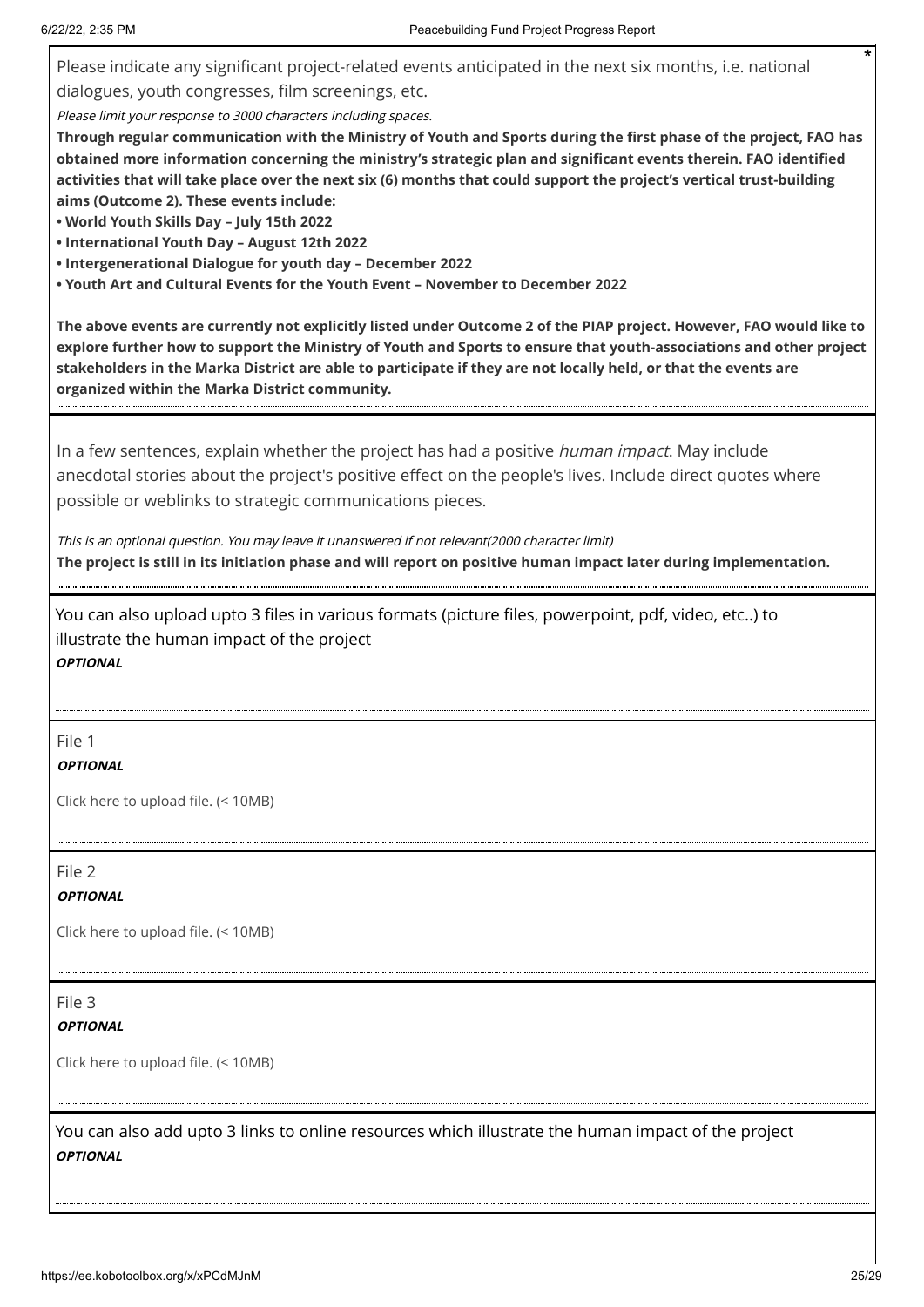Please indicate any significant project-related events anticipated in the next six months, i.e. national

dialogues, youth congresses, film screenings, etc.

Please limit your response to 3000 characters including spaces.

**Through regular communication with the Ministry of Youth and Sports during the first phase of the project, FAO has obtained more information concerning the ministry's strategic plan and significant events therein. FAO identified activities that will take place over the next six (6) months that could support the project's vertical trust-building aims (Outcome 2). These events include:**

**• World Youth Skills Day – July 15th 2022**

- **• International Youth Day August 12th 2022**
- **• Intergenerational Dialogue for youth day December 2022**
- **• Youth Art and Cultural Events for the Youth Event November to December 2022**

**The above events are currently not explicitly listed under Outcome 2 of the PIAP project. However, FAO would like to explore further how to support the Ministry of Youth and Sports to ensure that youth-associations and other project stakeholders in the Marka District are able to participate if they are not locally held, or that the events are organized within the Marka District community.**

In a few sentences, explain whether the project has had a positive *human impact*. May include anecdotal stories about the project's positive effect on the people's lives. Include direct quotes where possible or weblinks to strategic communications pieces.

This is an optional question. You may leave it unanswered if not relevant(2000 character limit) **The project is still in its initiation phase and will report on positive human impact later during implementation.**

You can also upload upto 3 files in various formats (picture files, powerpoint, pdf, video, etc..) to illustrate the human impact of the project **OPTIONAL**

### File 1

### **OPTIONAL**

Click here to upload file. (< 10MB)

File 2

### **OPTIONAL**

Click here to upload file. (< 10MB)

File 3

### **OPTIONAL**

Click here to upload file. (< 10MB)

You can also add upto 3 links to online resources which illustrate the human impact of the project **OPTIONAL**

**\***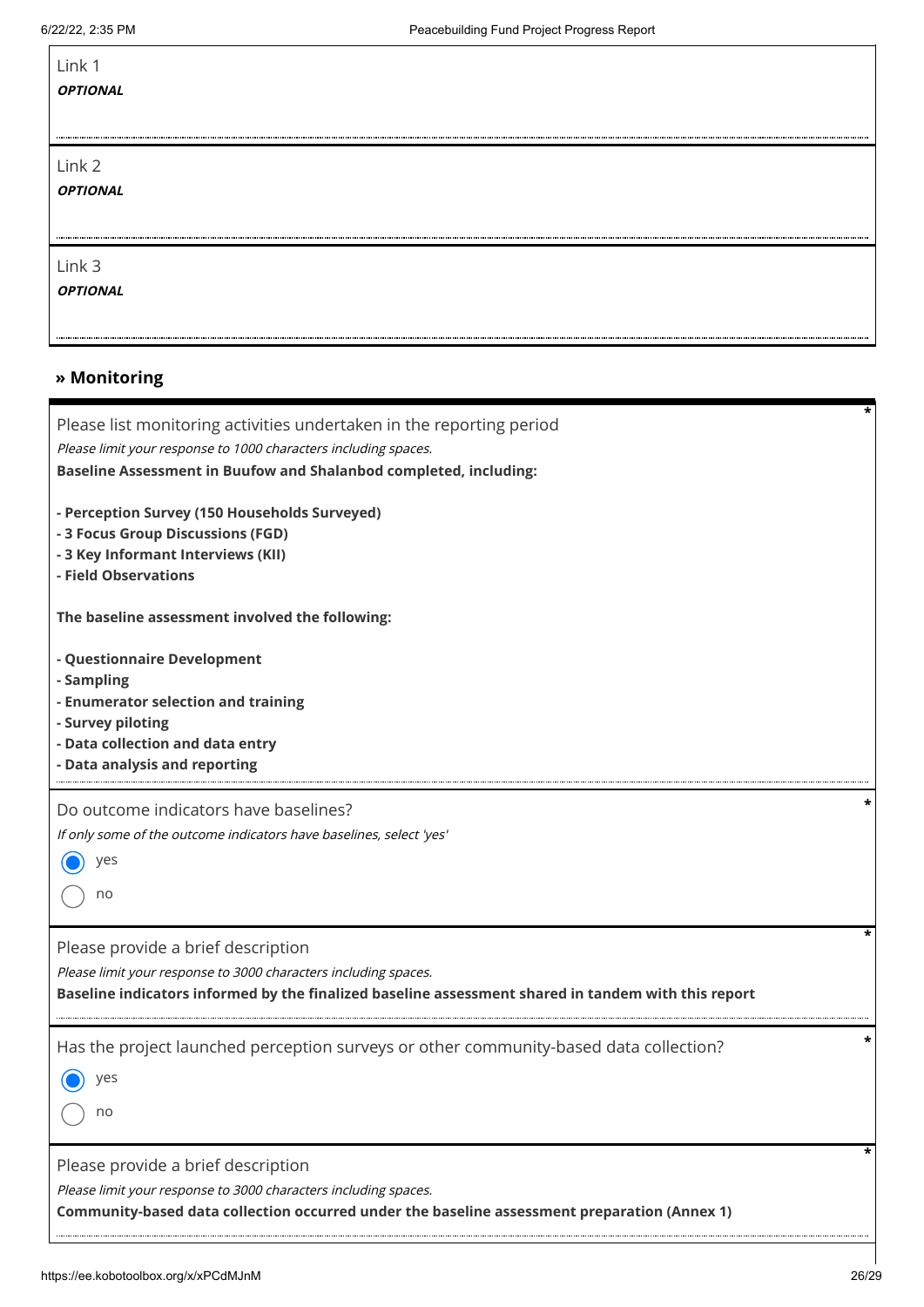$\mathbf{r}$ 

| Link 1<br><b>OPTIONAL</b> |  |  |
|---------------------------|--|--|
| Link 2<br><i>OPTIONAL</i> |  |  |
| Link 3<br><b>OPTIONAL</b> |  |  |

### **» Monitoring**

| Please list monitoring activities undertaken in the reporting period<br>Please limit your response to 1000 characters including spaces.<br>Baseline Assessment in Buufow and Shalanbod completed, including: | * |
|--------------------------------------------------------------------------------------------------------------------------------------------------------------------------------------------------------------|---|
| - Perception Survey (150 Households Surveyed)<br>- 3 Focus Group Discussions (FGD)<br>- 3 Key Informant Interviews (KII)<br>- Field Observations                                                             |   |
| The baseline assessment involved the following:                                                                                                                                                              |   |
| - Questionnaire Development<br>- Sampling<br>- Enumerator selection and training<br>- Survey piloting<br>- Data collection and data entry<br>- Data analysis and reporting                                   |   |
| Do outcome indicators have baselines?<br>If only some of the outcome indicators have baselines, select 'yes'<br>yes<br>no                                                                                    |   |
| Please provide a brief description<br>Please limit your response to 3000 characters including spaces.<br>Baseline indicators informed by the finalized baseline assessment shared in tandem with this report | * |
| Has the project launched perception surveys or other community-based data collection?<br>yes<br>no                                                                                                           |   |
| Please provide a brief description<br>Please limit your response to 3000 characters including spaces.<br>Community-based data collection occurred under the baseline assessment preparation (Annex 1)        | * |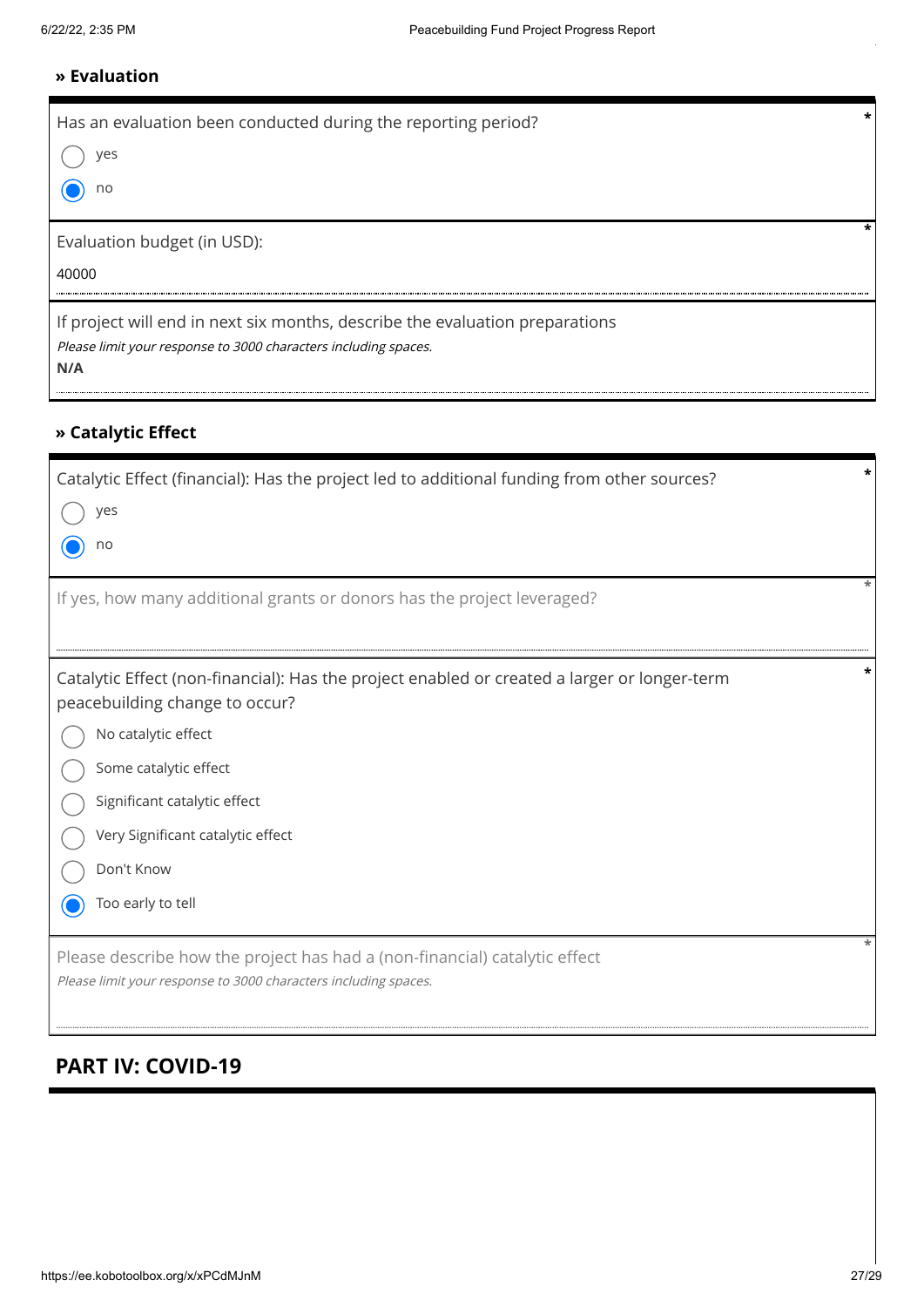### **» Evaluation**

| Has an evaluation been conducted during the reporting period?                |  |
|------------------------------------------------------------------------------|--|
| ves                                                                          |  |
| no                                                                           |  |
| Evaluation budget (in USD):                                                  |  |
| 40000                                                                        |  |
| If project will end in next six months, describe the evaluation preparations |  |
| Please limit your response to 3000 characters including spaces.<br>N/A       |  |

### **» Catalytic Effect**

| Catalytic Effect (financial): Has the project led to additional funding from other sources?                                                   |  |  |
|-----------------------------------------------------------------------------------------------------------------------------------------------|--|--|
| $\bigcirc$ yes                                                                                                                                |  |  |
| $\odot$ no                                                                                                                                    |  |  |
| If yes, how many additional grants or donors has the project leveraged?                                                                       |  |  |
| Catalytic Effect (non-financial): Has the project enabled or created a larger or longer-term<br>peacebuilding change to occur?                |  |  |
| $\bigcap$ No catalytic effect                                                                                                                 |  |  |
| $\bigcap$ Some catalytic effect                                                                                                               |  |  |
| Significant catalytic effect                                                                                                                  |  |  |
| Very Significant catalytic effect<br>$\left(\begin{array}{c}1\end{array}\right)$                                                              |  |  |
| Don't Know                                                                                                                                    |  |  |
| ◯ Too early to tell                                                                                                                           |  |  |
| Please describe how the project has had a (non-financial) catalytic effect<br>Please limit your response to 3000 characters including spaces. |  |  |
| <b>PART IV: COVID-19</b>                                                                                                                      |  |  |
|                                                                                                                                               |  |  |
|                                                                                                                                               |  |  |
|                                                                                                                                               |  |  |

# **PART IV: COVID-19**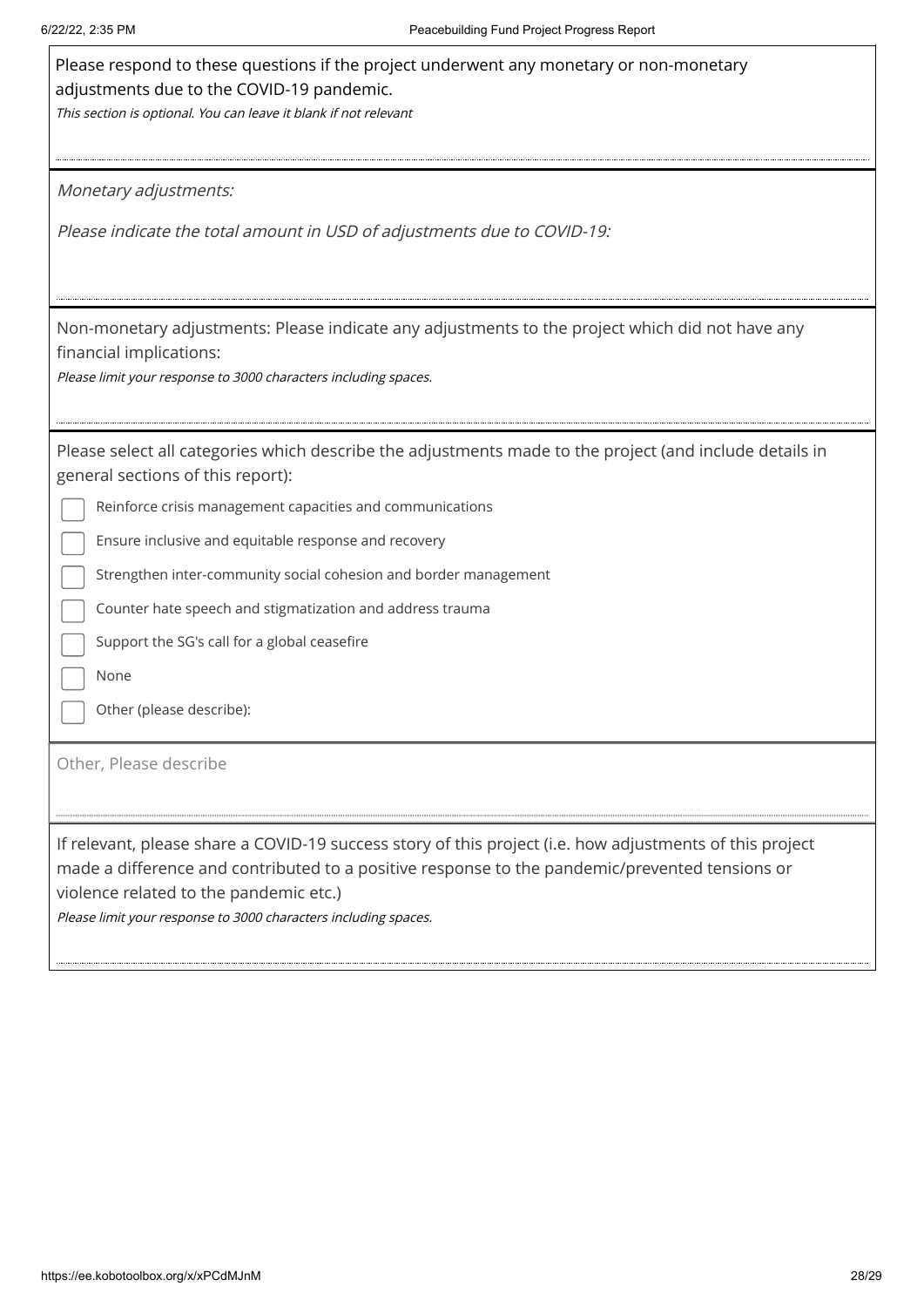| Please respond to these questions if the project underwent any monetary or non-monetary<br>adjustments due to the COVID-19 pandemic.<br>This section is optional. You can leave it blank if not relevant                                                                                                                |
|-------------------------------------------------------------------------------------------------------------------------------------------------------------------------------------------------------------------------------------------------------------------------------------------------------------------------|
| Monetary adjustments:                                                                                                                                                                                                                                                                                                   |
| Please indicate the total amount in USD of adjustments due to COVID-19:                                                                                                                                                                                                                                                 |
| Non-monetary adjustments: Please indicate any adjustments to the project which did not have any<br>financial implications:<br>Please limit your response to 3000 characters including spaces.                                                                                                                           |
| Please select all categories which describe the adjustments made to the project (and include details in<br>general sections of this report):                                                                                                                                                                            |
| Reinforce crisis management capacities and communications                                                                                                                                                                                                                                                               |
| Ensure inclusive and equitable response and recovery                                                                                                                                                                                                                                                                    |
| Strengthen inter-community social cohesion and border management                                                                                                                                                                                                                                                        |
| Counter hate speech and stigmatization and address trauma                                                                                                                                                                                                                                                               |
| Support the SG's call for a global ceasefire                                                                                                                                                                                                                                                                            |
| None                                                                                                                                                                                                                                                                                                                    |
| Other (please describe):                                                                                                                                                                                                                                                                                                |
| Other, Please describe                                                                                                                                                                                                                                                                                                  |
| If relevant, please share a COVID-19 success story of this project (i.e. how adjustments of this project<br>made a difference and contributed to a positive response to the pandemic/prevented tensions or<br>violence related to the pandemic etc.)<br>Please limit your response to 3000 characters including spaces. |